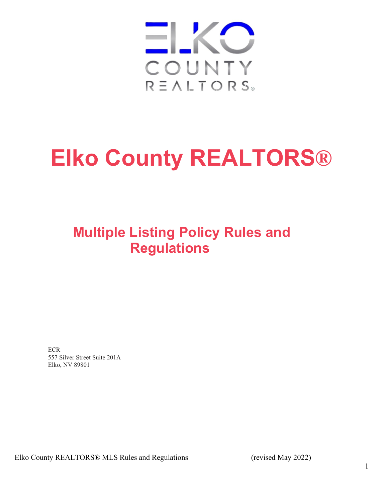

# **Elko County REALTORS®**

## **Multiple Listing Policy Rules and Regulations**

**ECR** 557 Silver Street Suite 201A Elko, NV 89801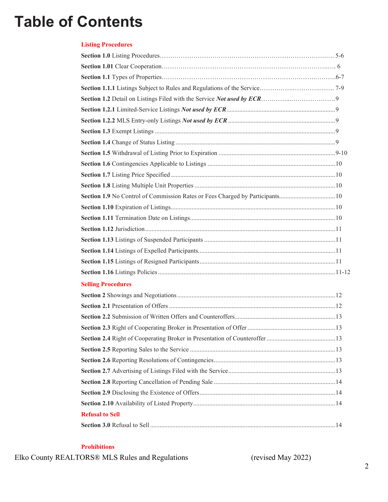## **Table of Contents**

### **Listing Procedures**

| <b>Selling Procedures</b> |  |
|---------------------------|--|
|                           |  |
|                           |  |
|                           |  |
|                           |  |
|                           |  |
|                           |  |
|                           |  |
|                           |  |
|                           |  |
|                           |  |
|                           |  |
| <b>Refusal to Sell</b>    |  |
|                           |  |

#### **Prohibitions**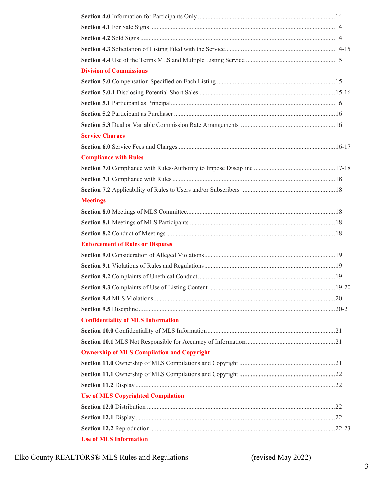| <b>Division of Commissions</b>                    |  |
|---------------------------------------------------|--|
|                                                   |  |
|                                                   |  |
|                                                   |  |
|                                                   |  |
|                                                   |  |
| <b>Service Charges</b>                            |  |
|                                                   |  |
| <b>Compliance with Rules</b>                      |  |
|                                                   |  |
|                                                   |  |
|                                                   |  |
| <b>Meetings</b>                                   |  |
|                                                   |  |
|                                                   |  |
|                                                   |  |
| <b>Enforcement of Rules or Disputes</b>           |  |
|                                                   |  |
|                                                   |  |
|                                                   |  |
|                                                   |  |
|                                                   |  |
|                                                   |  |
| <b>Confidentiality of MLS Information</b>         |  |
|                                                   |  |
|                                                   |  |
| <b>Ownership of MLS Compilation and Copyright</b> |  |
|                                                   |  |
|                                                   |  |
|                                                   |  |
| <b>Use of MLS Copyrighted Compilation</b>         |  |
|                                                   |  |
|                                                   |  |
|                                                   |  |
| <b>Use of MLS Information</b>                     |  |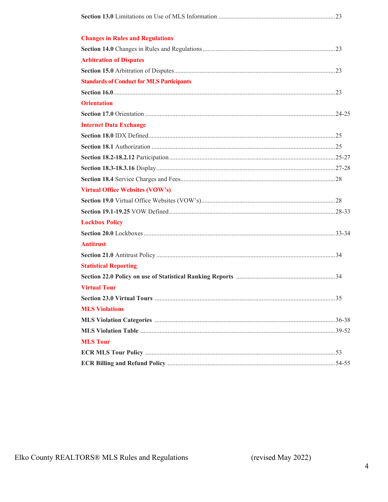| <b>Changes in Rules and Regulations</b>          |  |
|--------------------------------------------------|--|
|                                                  |  |
| <b>Arbitration of Disputes</b>                   |  |
|                                                  |  |
| <b>Standards of Conduct for MLS Participants</b> |  |
|                                                  |  |
| <b>Orientation</b>                               |  |
|                                                  |  |
| <b>Internet Data Exchange</b>                    |  |
|                                                  |  |
|                                                  |  |
|                                                  |  |
|                                                  |  |
|                                                  |  |
| <b>Virtual Office Websites (VOW's)</b>           |  |
|                                                  |  |
|                                                  |  |
| <b>Lockbox Policy</b>                            |  |
|                                                  |  |
| <b>Antitrust</b>                                 |  |
|                                                  |  |
| <b>Statistical Reporting</b>                     |  |
|                                                  |  |
| <b>Virtual Tour</b>                              |  |
|                                                  |  |
| <b>MLS Violations</b>                            |  |
|                                                  |  |
|                                                  |  |
| <b>MLS Tour</b>                                  |  |
|                                                  |  |
|                                                  |  |

(revised May 2022)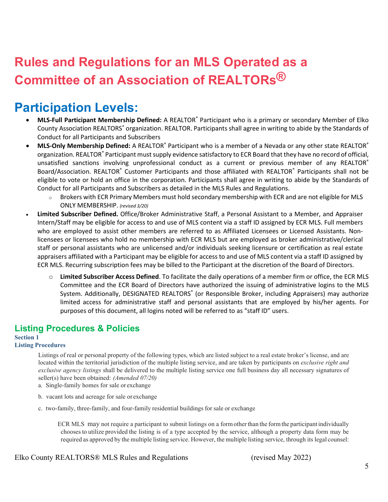## **Rules and Regulations for an MLS Operated as a Committee of an Association of REALTORs®**

## **Participation Levels:**

- **MLS-Full Participant Membership Defined:** A REALTOR® Participant who is a primary or secondary Member of Elko County Association REALTORS<sup>®</sup> organization. REALTOR. Participants shall agree in writing to abide by the Standards of Conduct for all Participants and Subscribers
- **MLS-Only Membership Defined:** A REALTOR® Participant who is a member of a Nevada or any other state REALTOR® organization. REALTOR® Participant must supply evidence satisfactory to ECR Board that they have no record of official, unsatisfied sanctions involving unprofessional conduct as a current or previous member of any REALTOR® Board/Association. REALTOR<sup>®</sup> Customer Participants and those affiliated with REALTOR® Participants shall not be eligible to vote or hold an office in the corporation. Participants shall agree in writing to abide by the Standards of Conduct for all Participants and Subscribers as detailed in the MLS Rules and Regulations.
	- $\circ$  Brokers with ECR Primary Members must hold secondary membership with ECR and are not eligible for MLS ONLY MEMBERSHIP. *(revised 3/20)*
- **Limited Subscriber Defined.** Office/Broker Administrative Staff, a Personal Assistant to a Member, and Appraiser Intern/Staff may be eligible for access to and use of MLS content via a staff ID assigned by ECR MLS. Full members who are employed to assist other members are referred to as Affiliated Licensees or Licensed Assistants. Nonlicensees or licensees who hold no membership with ECR MLS but are employed as broker administrative/clerical staff or personal assistants who are unlicensed and/or individuals seeking licensure or certification as real estate appraisers affiliated with a Participant may be eligible for access to and use of MLS content via a staff ID assigned by ECR MLS. Recurring subscription fees may be billed to the Participant at the discretion of the Board of Directors.
	- o **Limited Subscriber Access Defined**. To facilitate the daily operations of a member firm or office, the ECR MLS Committee and the ECR Board of Directors have authorized the issuing of administrative logins to the MLS System. Additionally, DESIGNATED REALTORS<sup>®</sup> (or Responsible Broker, including Appraisers) may authorize limited access for administrative staff and personal assistants that are employed by his/her agents. For purposes of this document, all logins noted will be referred to as "staff ID" users.

## **Listing Procedures & Policies**

#### **Section 1 Listing Procedures**

Listings of real or personal property of the following types, which are listed subject to a real estate broker's license, and are located within the territorial jurisdiction of the multiple listing service, and are taken by participants on *exclusive right and exclusive agency listings* shall be delivered to the multiple listing service one full business day all necessary signatures of seller(s) have been obtained: *(Amended 07/20)*

- a. Single-family homes for sale or exchange
- b. vacant lots and acreage for sale or exchange
- c. two-family, three-family, and four-family residential buildings for sale or exchange

ECR MLS may not require a participant to submit listings on a form other than the form the participant individually choosesto utilize provided the listing is of a type accepted by the service, although a property data form may be required as approved by the multiple listing service. However, the multiple listing service, through its legal counsel: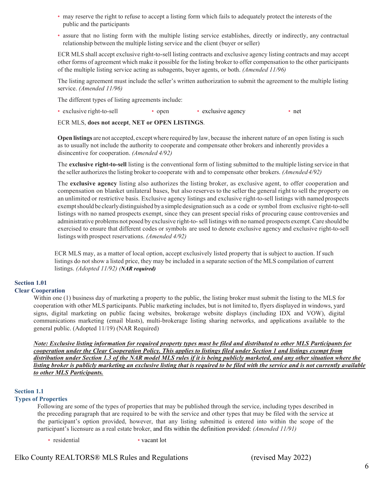- may reserve the right to refuse to accept a listing form which fails to adequately protect the interests of the public and the participants
- assure that no listing form with the multiple listing service establishes, directly or indirectly, any contractual relationship between the multiple listing service and the client (buyer orseller)

ECR MLS shall accept exclusive right-to-sell listing contracts and exclusive agency listing contracts and may accept other forms of agreement which make it possible for the listing broker to offer compensation to the other participants of the multiple listing service acting as subagents, buyer agents, or both. *(Amended 11/96)*

The listing agreement must include the seller's written authorization to submit the agreement to the multiple listing service. *(Amended 11/96)*

The different types of listing agreements include:

• exclusive right-to-sell • open • exclusive agency • net

ECR MLS, **does not accept**, **NET or OPEN LISTINGS**.

**Open listings** are not accepted, exceptwhere required by law, because the inherent nature of an open listing is such as to usually not include the authority to cooperate and compensate other brokers and inherently provides a disincentive for cooperation. *(Amended 4/92)*

The **exclusive right-to-sell** listing is the conventional form of listing submitted to the multiple listing service in that the seller authorizesthe listing broker to cooperate with and to compensate other brokers. *(Amended4/92)*

The **exclusive agency** listing also authorizes the listing broker, as exclusive agent, to offer cooperation and compensation on blanket unilateral bases, but also reserves to the seller the general right to sell the property on an unlimited or restrictive basis. Exclusive agency listings and exclusive right-to-sell listings with named prospects exemptshould be clearlydistinguished by a simple designation such as a code or symbol from exclusive right-to-sell listings with no named prospects exempt, since they can present special risks of procuring cause controversies and administrative problems not posed by exclusive right-to- sell listings with no named prospects exempt.Care should be exercised to ensure that different codes or symbols are used to denote exclusive agency and exclusive right-to-sell listings with prospect reservations. *(Amended 4/92)*

ECR MLS may, as a matter of local option, accept exclusively listed property that is subject to auction. If such listings do not show a listed price, they may be included in a separate section of the MLS compilation of current listings. *(Adopted 11/92) (NAR required)*

## **Section 1.01**

#### **Clear Cooperation**

Within one (1) business day of marketing a property to the public, the listing broker must submit the listing to the MLS for cooperation with other MLS participants. Public marketing includes, but is not limited to, flyers displayed in windows, yard signs, digital marketing on public facing websites, brokerage website displays (including IDX and VOW), digital communications marketing (email blasts), multi-brokerage listing sharing networks, and applications available to the general public. (Adopted 11/19) (NAR Required)

*Note: Exclusive listing information for required property types must be filed and distributed to other MLS Participants for cooperation under the Clear Cooperation Policy. This applies to listings filed under Section 1 and listings exempt from distribution under Section 1.3 of the NAR model MLS rules if it is being publicly marketed, and any other situation where the listing broker is publicly marketing an exclusive listing that is required to be filed with the service and is not currently available to other MLS Participants.*

#### **Section 1.1**

#### **Types of Properties**

Following are some of the types of properties that may be published through the service, including types described in the preceding paragraph that are required to be with the service and other types that may be filed with the service at the participant's option provided, however, that any listing submitted is entered into within the scope of the participant's licensure as a real estate broker, and fits within the definition provided: *(Amended 11/91)* 

• residential • vacant lot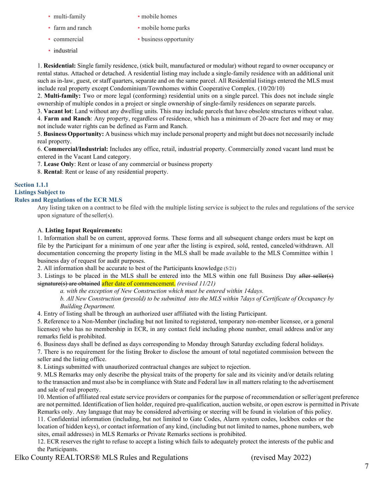- 
- 
- 
- industrial
- multi-family mobile homes
- farm and ranch mobile home parks
- commercial business opportunity

1. **Residential:** Single family residence, (stick built, manufactured or modular) without regard to owner occupancy or rental status. Attached or detached. A residential listing may include a single-family residence with an additional unit such as in-law, guest, or staff quarters, separate and on the same parcel. All Residential listings entered the MLS must include real property except Condominium/Townhomes within Cooperative Complex. (10/20/10)

2. **Multi-family:** Two or more legal (conforming) residential units on a single parcel. This does not include single ownership of multiple condos in a project or single ownership of single-family residences on separate parcels.

3. **Vacant lot**: Land without any dwelling units. This may include parcels that have obsolete structures without value.

4. **Farm and Ranch**: Any property, regardless of residence, which has a minimum of 20-acre feet and may or may not include water rights can be defined as Farm and Ranch.

5. **Business Opportunity:** A business which may include personal property and might but does not necessarily include real property.

6. **Commercial/Industrial:** Includes any office, retail, industrial property. Commercially zoned vacant land must be entered in the Vacant Land category.

7. **Lease Only**: Rent or lease of any commercial or business property

8. **Rental**: Rent or lease of any residential property.

#### **Section 1.1.1**

#### **Listings Subject to Rules and Regulations of the ECR MLS**

Any listing taken on a contract to be filed with the multiple listing service is subject to the rules and regulations of the service upon signature of theseller(s).

#### A. **Listing Input Requirements:**

1. Information shall be on current, approved forms. These forms and all subsequent change orders must be kept on file by the Participant for a minimum of one year after the listing is expired, sold, rented, canceled/withdrawn. All documentation concerning the property listing in the MLS shall be made available to the MLS Committee within 1 business day of request for audit purposes.

2. All information shall be accurate to best of the Participants knowledge (5/21)

3. Listings to be placed in the MLS shall be entered into the MLS within one full Business Day after seller(s) signature(s) are obtained after date of commencement. *(revised 11/21)* 

*a. with the exception of New Construction which must be entered within 14days.*

*b. All New Construction (presold) to be submitted into the MLS within 7days of Certificate of Occupancy by Building Department.*

4. Entry of listing shall be through an authorized user affiliated with the listing Participant.

5. Reference to a Non-Member (including but not limited to registered, temporary non-member licensee, or a general licensee) who has no membership in ECR, in any contact field including phone number, email address and/or any remarks field is prohibited.

6. Business days shall be defined as days corresponding to Monday through Saturday excluding federal holidays.

7. There is no requirement for the listing Broker to disclose the amount of total negotiated commission between the seller and the listing office.

8. Listings submitted with unauthorized contractual changes are subject to rejection.

9. MLS Remarks may only describe the physical traits of the property for sale and its vicinity and/or details relating to the transaction and must also be in compliance with State and Federal law in all matters relating to the advertisement and sale of real property.

10. Mention of affiliated real estate service providers or companies for the purpose of recommendation or seller/agent preference are not permitted. Identification of lien holder, required pre-qualification, auction website, or open escrow is permitted in Private Remarks only. Any language that may be considered advertising or steering will be found in violation of this policy.

11. Confidential information (including, but not limited to Gate Codes, Alarm system codes, lockbox codes or the location of hidden keys), or contact information of any kind, (including but not limited to names, phone numbers, web sites, email addresses) in MLS Remarks or Private Remarks sections is prohibited.

12. ECR reserves the right to refuse to accept a listing which fails to adequately protect the interests of the public and the Participants.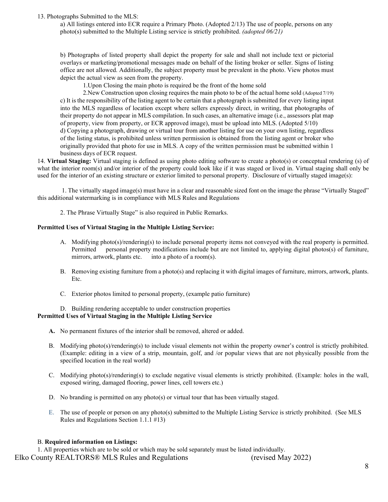#### 13. Photographs Submitted to the MLS:

a) All listings entered into ECR require a Primary Photo. (Adopted 2/13) The use of people, persons on any photo(s) submitted to the Multiple Listing service is strictly prohibited. *(adopted 06/21)*

b) Photographs of listed property shall depict the property for sale and shall not include text or pictorial overlays or marketing/promotional messages made on behalf of the listing broker or seller. Signs of listing office are not allowed. Additionally, the subject property must be prevalent in the photo. View photos must depict the actual view as seen from the property.

1.Upon Closing the main photo is required be the front of the home sold

2.New Construction upon closing requires the main photo to be of the actual home sold (Adopted 7/19) c) It is the responsibility of the listing agent to be certain that a photograph is submitted for every listing input into the MLS regardless of location except where sellers expressly direct, in writing, that photographs of their property do not appear in MLS compilation. In such cases, an alternative image (i.e., assessors plat map of property, view from property, or ECR approved image), must be upload into MLS. (Adopted 5/10) d) Copying a photograph, drawing or virtual tour from another listing for use on your own listing, regardless

of the listing status, is prohibited unless written permission is obtained from the listing agent or broker who originally provided that photo for use in MLS. A copy of the written permission must be submitted within 1 business days of ECR request.

14. **Virtual Staging:** Virtual staging is defined as using photo editing software to create a photo(s) or conceptual rendering (s) of what the interior room(s) and/or interior of the property could look like if it was staged or lived in. Virtual staging shall only be used for the interior of an existing structure or exterior limited to personal property. Disclosure of virtually staged image(s):

1. The virtually staged image(s) must have in a clear and reasonable sized font on the image the phrase "Virtually Staged" this additional watermarking is in compliance with MLS Rules and Regulations

2. The Phrase Virtually Stage" is also required in Public Remarks.

#### **Permitted Uses of Virtual Staging in the Multiple Listing Service:**

- A. Modifying photo(s)/rendering(s) to include personal property items not conveyed with the real property is permitted. Permitted personal property modifications include but are not limited to, applying digital photos(s) of furniture, mirrors, artwork, plants etc. into a photo of a room(s).
- B. Removing existing furniture from a photo(s) and replacing it with digital images of furniture, mirrors, artwork, plants. Etc.
- C. Exterior photos limited to personal property, (example patio furniture)

#### D. Building rendering acceptable to under construction properties **Permitted Uses of Virtual Staging in the Multiple Listing Service**

- **A.** No permanent fixtures of the interior shall be removed, altered or added.
- B. Modifying photo(s)/rendering(s) to include visual elements not within the property owner's control is strictly prohibited. (Example: editing in a view of a strip, mountain, golf, and /or popular views that are not physically possible from the specified location in the real world)
- C. Modifying photo(s)/rendering(s) to exclude negative visual elements is strictly prohibited. (Example: holes in the wall, exposed wiring, damaged flooring, power lines, cell towers etc.)
- D. No branding is permitted on any photo(s) or virtual tour that has been virtually staged.
- E. The use of people or person on any photo(s) submitted to the Multiple Listing Service is strictly prohibited. (See MLS Rules and Regulations Section 1.1.1 #13)

#### B. **Required information on Listings:**

Elko County REALTORS® MLS Rules and Regulations (revised May 2022) 1. All properties which are to be sold or which may be sold separately must be listed individually.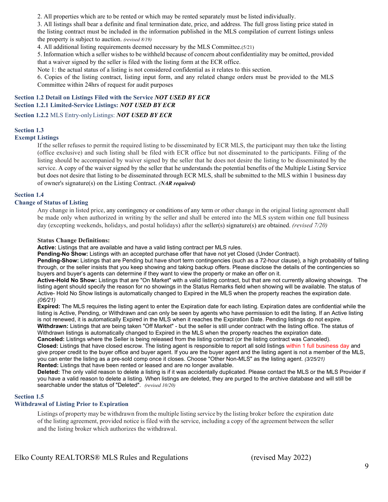2. All properties which are to be rented or which may be rented separately must be listed individually.

3. All listings shall bear a definite and final termination date, price, and address. The full gross listing price stated in the listing contract must be included in the information published in the MLS compilation of current listings unless the property is subject to auction. *(revised 8/19)*

4. All additional listing requirements deemed necessary by the MLS Committee.(5/21)

5. Information which a seller wishes to be withheld because of concern about confidentiality may be omitted, provided that a waiver signed by the seller is filed with the listing form at the ECR office.

Note 1: the actual status of a listing is not considered confidential as it relates to this section.

6. Copies of the listing contract, listing input form, and any related change orders must be provided to the MLS Committee within 24hrs of request for audit purposes

#### **Section 1.2 Detail on Listings Filed with the Service** *NOT USED BY ECR* **Section 1.2.1 Limited-Service Listings:** *NOT USED BY ECR*

**Section 1.2.2** MLS Entry-onlyListings: *NOT USED BY ECR* 

#### **Section 1.3**

#### **Exempt Listings**

If the seller refuses to permit the required listing to be disseminated by ECR MLS, the participant may then take the listing (office exclusive) and such listing shall be filed with ECR office but not disseminated to the participants. Filing of the listing should be accompanied by waiver signed by the seller that he does not desire the listing to be disseminated by the service. A copy of the waiver signed by the seller that he understands the potential benefits of the Multiple Listing Service but does not desire that listing to be disseminated through ECR MLS, shall be submitted to the MLS within 1 business day of owner's signature(s) on the Listing Contract. *(NAR required)*

#### **Section 1.4**

#### **Change of Status of Listing**

Any change in listed price, any contingency or conditions of any term or other change in the original listing agreement shall be made only when authorized in writing by the seller and shall be entered into the MLS system within one full business day (excepting weekends, holidays, and postal holidays) after the seller(s) signature(s) are obtained. *(revised 7/20)*

#### **Status Change Definitions:**

**Active:** Listings that are available and have a valid listing contract per MLS rules.

**Pending-No Show:** Listings with an accepted purchase offer that have not yet Closed (Under Contract).

**Pending-Show:** Listings that are Pending but have short term contingencies (such as a 72-hour clause), a high probability of falling through, or the seller insists that you keep showing and taking backup offers. Please disclose the details of the contingencies so buyers and buyer's agents can determine if they want to view the property or make an offer on it.

**Active-Hold No Show:** Listings that are "On Market" with a valid listing contract, but that are not currently allowing showings. The listing agent should specify the reason for no showings in the Status Remarks field when showing will be available. The status of Active- Hold No Show listings is automatically changed to Expired in the MLS when the property reaches the expiration date. *(06/21)*

**Expired:** The MLS requires the listing agent to enter the Expiration date for each listing. Expiration dates are confidential while the listing is Active, Pending, or Withdrawn and can only be seen by agents who have permission to edit the listing. If an Active listing is not renewed, it is automatically Expired in the MLS when it reaches the Expiration Date. Pending listings do not expire. **Withdrawn:** Listings that are being taken "Off Market" - but the seller is still under contract with the listing office. The status of Withdrawn listings is automatically changed to Expired in the MLS when the property reaches the expiration date.

**Canceled:** Listings where the Seller is being released from the listing contract (or the listing contract was Canceled).

**Closed:** Listings that have closed escrow. The listing agent is responsible to report all sold listings within 1 full business day and give proper credit to the buyer office and buyer agent. If you are the buyer agent and the listing agent is not a member of the MLS, you can enter the listing as a pre-sold comp once it closes. Choose "Other Non-MLS" as the listing agent. *(3/25/21)* **Rented:** Listings that have been rented or leased and are no longer available.

**Deleted:** The only valid reason to delete a listing is if it was accidentally duplicated. Please contact the MLS or the MLS Provider if you have a valid reason to delete a listing. When listings are deleted, they are purged to the archive database and will still be searchable under the status of "Deleted". *(revised 10/20)*

#### **Section 1.5**

#### **Withdrawal of Listing Prior to Expiration**

Listings of property may be withdrawn from the multiple listing service by the listing broker before the expiration date of the listing agreement, provided notice is filed with the service, including a copy of the agreement between the seller and the listing broker which authorizes the withdrawal.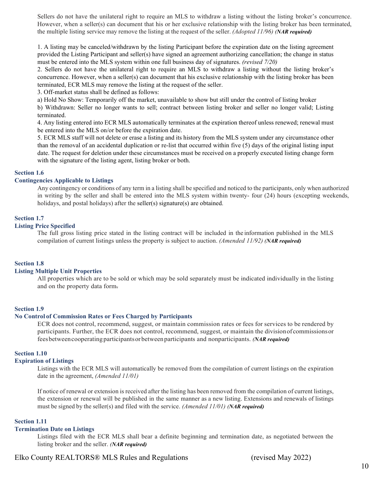Sellers do not have the unilateral right to require an MLS to withdraw a listing without the listing broker's concurrence. However, when a seller(s) can document that his or her exclusive relationship with the listing broker has been terminated, the multiple listing service may remove the listing at the request of the seller. *(Adopted 11/96) (NAR required)*

1. A listing may be canceled/withdrawn by the listing Participant before the expiration date on the listing agreement provided the Listing Participant and seller(s) have signed an agreement authorizing cancellation; the change in status must be entered into the MLS system within one full business day of signatures. *(revised 7/20)*

2. Sellers do not have the unilateral right to require an MLS to withdraw a listing without the listing broker's concurrence. However, when a seller(s) can document that his exclusive relationship with the listing broker has been terminated, ECR MLS may remove the listing at the request of the seller.

3. Off-market status shall be defined as follows:

a) Hold No Show: Temporarily off the market, unavailable to show but still under the control of listing broker

b) Withdrawn: Seller no longer wants to sell; contract between listing broker and seller no longer valid; Listing terminated.

4. Any listing entered into ECR MLS automatically terminates at the expiration thereof unless renewed; renewal must be entered into the MLS on/or before the expiration date.

5. ECR MLS staff will not delete or erase a listing and its history from the MLS system under any circumstance other than the removal of an accidental duplication or re-list that occurred within five (5) days of the original listing input date. The request for deletion under these circumstances must be received on a properly executed listing change form with the signature of the listing agent, listing broker or both.

#### **Section 1.6**

#### **Contingencies Applicable to Listings**

Any contingency or conditions of any term in a listing shall be specified and noticed to the participants, only when authorized in writing by the seller and shall be entered into the MLS system within twenty- four (24) hours (excepting weekends, holidays, and postal holidays) after the seller(s) signature(s) are obtained.

#### **Section 1.7**

#### **Listing Price Specified**

The full gross listing price stated in the listing contract will be included in the information published in the MLS compilation of current listings unless the property is subject to auction. *(Amended 11/92) (NAR required)*

#### **Section 1.8**

#### **Listing Multiple Unit Properties**

All properties which are to be sold or which may be sold separately must be indicated individually in the listing and on the property data form.

#### **Section 1.9**

#### **No Control of Commission Rates or Fees Charged by Participants**

ECR does not control, recommend, suggest, or maintain commission rates or fees for services to be rendered by participants. Further, the ECR does not control, recommend, suggest, or maintain the divisionof commissionsor feesbetweencooperatingparticipantsorbetweenparticipants and nonparticipants. *(NAR required)*

#### **Section 1.10**

#### **Expiration of Listings**

Listings with the ECR MLS will automatically be removed from the compilation of current listings on the expiration date in the agreement, *(Amended 11/01)*

If notice of renewal or extension is received after the listing has been removed from the compilation of current listings, the extension or renewal will be published in the same manner as a new listing. Extensions and renewals of listings must be signed by the seller(s) and filed with the service. *(Amended 11/01) (NAR required)*

#### **Section 1.11**

#### **Termination Date on Listings**

Listings filed with the ECR MLS shall bear a definite beginning and termination date, as negotiated between the listing broker and the seller. *(NAR required)*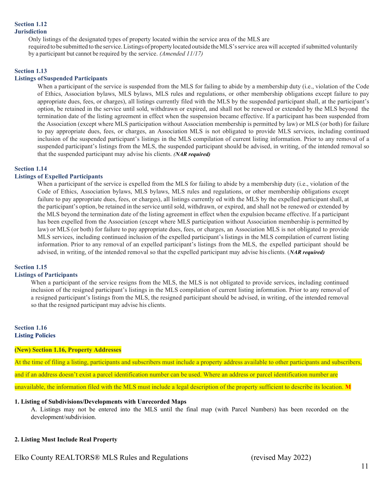#### **Section 1.12 Jurisdiction**

Only listings of the designated types of property located within the service area of the MLS are

required to be submitted to the service. Listings of property located outside the MLS's service area will accepted if submitted voluntarily by a participant but cannot be required by the service. *(Amended 11/17)*

#### **Section 1.13**

#### **Listings ofSuspended Participants**

When a participant of the service is suspended from the MLS for failing to abide by a membership duty (i.e., violation of the Code of Ethics, Association bylaws, MLS bylaws, MLS rules and regulations, or other membership obligations except failure to pay appropriate dues, fees, or charges), all listings currently filed with the MLS by the suspended participant shall, at the participant's option, be retained in the service until sold, withdrawn or expired, and shall not be renewed or extended by the MLS beyond the termination date of the listing agreement in effect when the suspension became effective. If a participant has been suspended from the Association (except where MLS participation without Association membership is permitted by law) or MLS (or both) for failure to pay appropriate dues, fees, or charges, an Association MLS is not obligated to provide MLS services, including continued inclusion of the suspended participant's listings in the MLS compilation of current listing information. Prior to any removal of a suspended participant's listings from the MLS, the suspended participant should be advised, in writing, of the intended removal so that the suspended participant may advise his clients. *(NAR required)*

#### **Section 1.14**

#### **Listings of Expelled Participants**

When a participant of the service is expelled from the MLS for failing to abide by a membership duty (i.e., violation of the Code of Ethics, Association bylaws, MLS bylaws, MLS rules and regulations, or other membership obligations except failure to pay appropriate dues, fees, or charges), all listings currently ed with the MLS by the expelled participant shall, at the participant's option, be retained in the service untilsold, withdrawn, or expired, and shall not be renewed or extended by the MLS beyond the termination date of the listing agreement in effect when the expulsion became effective. If a participant has been expelled from the Association (except where MLS participation without Association membership is permitted by law) or MLS (or both) for failure to pay appropriate dues, fees, or charges, an Association MLS is not obligated to provide MLS services, including continued inclusion of the expelled participant's listings in the MLS compilation of current listing information. Prior to any removal of an expelled participant's listings from the MLS, the expelled participant should be advised, in writing, of the intended removal so that the expelled participant may advise his clients. (*NAR required)*

#### **Section 1.15**

#### **Listings of Participants**

When a participant of the service resigns from the MLS, the MLS is not obligated to provide services, including continued inclusion of the resigned participant's listings in the MLS compilation of current listing information. Prior to any removal of a resigned participant's listings from the MLS, the resigned participant should be advised, in writing, of the intended removal so that the resigned participant may advise his clients.

#### **Section 1.16 Listing Policies**

#### **(New) Section 1.16, Property Addresses**

At the time of filing a listing, participants and subscribers must include a property address available to other participants and subscribers, and if an address doesn't exist a parcel identification number can be used. Where an address or parcel identification number are unavailable, the information filed with the MLS must include a legal description of the property sufficient to describe its location. **M**

#### **1. Listing of Subdivisions/Developments with Unrecorded Maps**

A. Listings may not be entered into the MLS until the final map (with Parcel Numbers) has been recorded on the development/subdivision.

#### **2. Listing Must Include Real Property**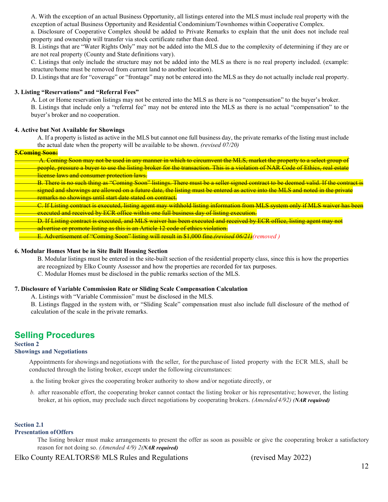A. With the exception of an actual Business Opportunity, all listings entered into the MLS must include real property with the exception of actual Business Opportunity and Residential Condominium/Townhomes within Cooperative Complex.

a. Disclosure of Cooperative Complex should be added to Private Remarks to explain that the unit does not include real property and ownership will transfer via stock certificate rather than deed.

B. Listings that are "Water Rights Only" may not be added into the MLS due to the complexity of determining if they are or are not real property (County and State definitions vary).

C. Listings that only include the structure may not be added into the MLS as there is no real property included. (example: structure/home must be removed from current land to another location).

D. Listings that are for "coverage" or "frontage" may not be entered into the MLS as they do not actually include real property.

#### **3. Listing "Reservations" and "Referral Fees"**

A. Lot or Home reservation listings may not be entered into the MLS as there is no "compensation" to the buyer's broker. B. Listings that include only a "referral fee" may not be entered into the MLS as there is no actual "compensation" to the buyer's broker and no cooperation.

#### **4. Active but Not Available for Showings**

A. If a property is listed as active in the MLS but cannot one full business day, the private remarks of the listing must include the actual date when the property will be available to be shown. *(revised 07/20)*

#### **5.Coming Soon:**

| A. Coming Soon may not be used in any manner in which to circumvent the MLS, market the property to a select group of                         |
|-----------------------------------------------------------------------------------------------------------------------------------------------|
| people, pressure a buyer to use the listing broker for the transaction. This is a violation of NAR Code of Ethics, real estate                |
| <u>license laws and consumer protection laws.</u>                                                                                             |
| <del>B. There is no such thing as "Coming Soon" listings. There must be a seller signed contract to be deemed valid. If the contract is</del> |
| signed and showings are allowed on a future date, the listing must be entered as active into the MLS and noted in the private                 |
| remarks no showings until start date stated on contract.                                                                                      |
| <del>C. If Listing contract is executed, listing agent may withhold listing information from MLS system only if MLS waiver has been</del>     |
| executed and received by ECR office within one full business day of listing execution.                                                        |
| D. If Listing contract is executed, and MLS waiver has been executed and received by ECR office, listing agent may not                        |
| advertise or promote listing as this is an Article 12 code of ethics violation.                                                               |
| <del>E. Advertisement of "Coming Soon" listing will result in \$1,000 fine.<i>(revised 06/21)</i> (removed</del>                              |
|                                                                                                                                               |

#### **6. Modular Homes Must be in Site Built Housing Section**

B. Modular listings must be entered in the site-built section of the residential property class, since this is how the properties are recognized by Elko County Assessor and how the properties are recorded for tax purposes. C. Modular Homes must be disclosed in the public remarks section of the MLS.

#### **7. Disclosure of Variable Commission Rate or Sliding Scale Compensation Calculation**

A. Listings with "Variable Commission" must be disclosed in the MLS.

B. Listings flagged in the system with, or "Sliding Scale" compensation must also include full disclosure of the method of calculation of the scale in the private remarks.

## **Selling Procedures**

#### **Section 2**

#### **Showings and Negotiations**

Appointments for showings and negotiations with the seller, for the purchase of listed property with the ECR MLS, shall be conducted through the listing broker, except under the following circumstances:

a. the listing broker gives the cooperating broker authority to show and/or negotiate directly, or

*b.* after reasonable effort, the cooperating broker cannot contact the listing broker or his representative; however, the listing broker, at his option, may preclude such direct negotiations by cooperating brokers. *(Amended 4/92) (NAR required)*

#### **Section 2.1**

#### **Presentation ofOffers**

The listing broker must make arrangements to present the offer as soon as possible or give the cooperating broker a satisfactory reason for not doing so. *(Amended 4/9) 2(NAR required)*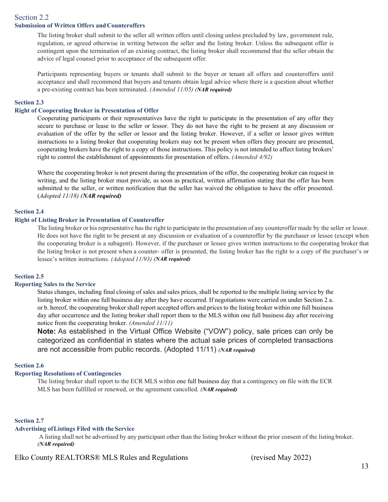#### Section 2.2 **Submission of Written Offers and Counteroffers**

The listing broker shall submit to the seller all written offers until closing unless precluded by law, government rule, regulation, or agreed otherwise in writing between the seller and the listing broker. Unless the subsequent offer is contingent upon the termination of an existing contract, the listing broker shall recommend that the seller obtain the advice of legal counsel prior to acceptance of the subsequent offer.

Participants representing buyers or tenants shall submit to the buyer or tenant all offers and counteroffers until acceptance and shall recommend that buyers and tenants obtain legal advice where there is a question about whether a pre-existing contract has been terminated. *(Amended 11/05) (NAR required)*

#### **Section 2.3**

#### **Right of Cooperating Broker in Presentation of Offer**

Cooperating participants or their representatives have the right to participate in the presentation of any offer they secure to purchase or lease to the seller or lessor. They do not have the right to be present at any discussion or evaluation of the offer by the seller or lessor and the listing broker. However, if a seller or lessor gives written instructions to a listing broker that cooperating brokers may not be present when offers they procure are presented, cooperating brokers have the right to a copy of those instructions. This policy is not intended to affect listing brokers' right to control the establishment of appointments for presentation of offers. *(Amended 4/92)*

Where the cooperating broker is not present during the presentation of the offer, the cooperating broker can request in writing, and the listing broker must provide, as soon as practical, written affirmation stating that the offer has been submitted to the seller, or written notification that the seller has waived the obligation to have the offer presented. (*Adopted 11/18) (NAR required)*

#### **Section 2.4**

#### **Right of Listing Broker in Presentation of Counteroffer**

The listing broker or his representative has the right to participate in the presentation of any counteroffer made by the seller or lessor. He does not have the right to be present at any discussion or evaluation of a counteroffer by the purchaser or lessee (except when the cooperating broker is a subagent). However, if the purchaser or lessee gives written instructions to the cooperating broker that the listing broker is not present when a counter- offer is presented, the listing broker has the right to a copy of the purchaser's or lessee's written instructions. *(Adopted 11/93) (NAR required)*

#### **Section 2.5**

#### **Reporting Sales to the Service**

Status changes, including final closing of sales and sales prices, shall be reported to the multiple listing service by the listing broker within one full business day after they have occurred. If negotiations were carried on under Section 2 a. or b. hereof, the cooperating broker shall report accepted offers and prices to the listing broker within one full business day after occurrence and the listing broker shall report them to the MLS within one full business day after receiving notice from the cooperating broker. *(Amended 11/11)*

**Note:** As established in the Virtual Office Website ("VOW") policy, sale prices can only be categorized as confidential in states where the actual sale prices of completed transactions are not accessible from public records. (Adopted 11/11) *(NAR required)*

#### **Section 2.6**

#### **Reporting Resolutions of Contingencies**

The listing broker shall report to the ECR MLS within one full business day that a contingency on file with the ECR MLS has been fulfilled or renewed, or the agreement cancelled. *(NAR required)*

#### **Section 2.7**

#### **Advertising ofListings Filed with theService**

 A listing shall not be advertised by any participant other than the listing broker without the prior consent of the listing broker. *(NAR required)*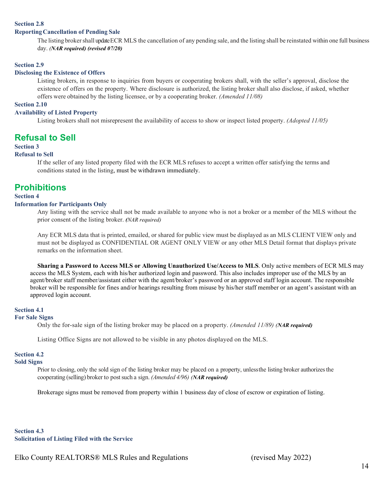#### **ReportingCancellation of Pending Sale**

The listing broker shall update ECR MLS the cancellation of any pending sale, and the listing shall be reinstated within one full business day. *(NAR required) (revised 07/20)*

#### **Section 2.9**

#### **Disclosing the Existence of Offers**

Listing brokers, in response to inquiries from buyers or cooperating brokers shall, with the seller's approval, disclose the existence of offers on the property. Where disclosure is authorized, the listing broker shall also disclose, if asked, whether offers were obtained by the listing licensee, or by a cooperating broker. *(Amended 11/08)*

#### **Section 2.10**

#### **Availability of Listed Property**

Listing brokers shall not misrepresent the availability of access to show or inspect listed property. *(Adopted 11/05)*

## **Refusal to Sell**

#### **Section 3**

#### **Refusal to Sell**

If the seller of any listed property filed with the ECR MLS refuses to accept a written offer satisfying the terms and conditions stated in the listing, must be withdrawn immediately.

## **Prohibitions**

#### **Section 4**

#### **Information for Participants Only**

Any listing with the service shall not be made available to anyone who is not a broker or a member of the MLS without the prior consent of the listing broker. *(NAR required)*

Any ECR MLS data that is printed, emailed, or shared for public view must be displayed as an MLS CLIENT VIEW only and must not be displayed as CONFIDENTIAL OR AGENT ONLY VIEW or any other MLS Detail format that displays private remarks on the information sheet.

**Sharing a Password to Access MLS or Allowing Unauthorized Use/Access to MLS**. Only active members of ECR MLS may access the MLS System, each with his/her authorized login and password. This also includes improper use of the MLS by an agent/broker staff member/assistant either with the agent/broker's password or an approved staff login account. The responsible broker will be responsible for fines and/or hearings resulting from misuse by his/her staff member or an agent's assistant with an approved login account.

#### **Section 4.1**

#### **For Sale Signs**

Only the for-sale sign of the listing broker may be placed on a property. *(Amended 11/89) (NAR required)*

Listing Office Signs are not allowed to be visible in any photos displayed on the MLS.

#### **Section 4.2**

#### **Sold Signs**

Prior to closing, only the sold sign of the listing broker may be placed on a property, unless the listing broker authorizes the cooperating (selling) broker to postsuch a sign. *(Amended 4/96) (NAR required)*

Brokerage signs must be removed from property within 1 business day of close of escrow or expiration of listing.

**Section 4.3 Solicitation of Listing Filed with the Service**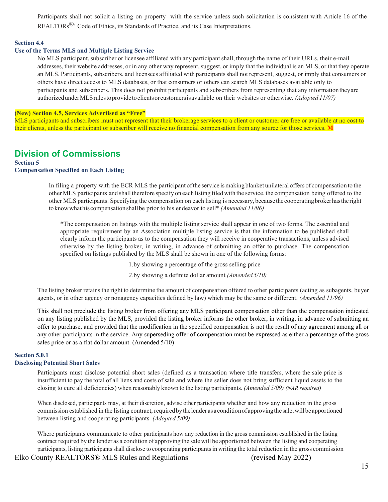Participants shall not solicit a listing on property with the service unless such solicitation is consistent with Article 16 of the REALTORs<sup>®</sup>' Code of Ethics, its Standards of Practice, and its Case Interpretations.

#### **Section 4.4**

#### **Use of the Terms MLS and Multiple Listing Service**

No MLS participant, subscriber or licensee affiliated with any participantshall, through the name of their URLs, their e-mail addresses, their website addresses, or in any other way represent, suggest, or imply that the individual is an MLS, or that they operate an MLS. Participants, subscribers, and licensees affiliated with participantsshall not represent, suggest, or imply that consumers or others have direct access to MLS databases, or that consumers or others can search MLS databases available only to participants and subscribers. This does not prohibit participants and subscribers from representing that any informationtheyare authorizedunderMLSrulestoprovidetoclientsorcustomersisavailable on their websites or otherwise. *(Adopted 11/07)* 

#### **(New) Section 4.5, Services Advertised as "Free"**

MLS participants and subscribers must not represent that their brokerage services to a client or customer are free or available at no cost to their clients, unless the participant or subscriber will receive no financial compensation from any source for those services. **M**

## **Division of Commissions**

#### **Section 5 Compensation Specified on Each Listing**

In filing a property with the ECR MLS the participant ofthe service ismaking blanket unilateral offers of compensation to the other MLS participants and shall therefore specify on each listing filed with the service, the compensation being offered to the other MLS participants. Specifying the compensation on each listing is necessary,becausethecooperatingbrokerhastheright to knowwhathiscompensationshallbe prior to his endeavor to sell\* *(Amended 11/96)*

\*The compensation on listings with the multiple listing service shall appear in one of two forms. The essential and appropriate requirement by an Association multiple listing service is that the information to be published shall clearly inform the participants as to the compensation they will receive in cooperative transactions, unless advised otherwise by the listing broker, in writing, in advance of submitting an offer to purchase. The compensation specified on listings published by the MLS shall be shown in one of the following forms:

1.by showing a percentage of the gross selling price

*2.*by showing a definite dollar amount *(Amended 5/10)*

The listing broker retains the right to determine the amount of compensation offered to other participants (acting as subagents, buyer agents, or in other agency or nonagency capacities defined by law) which may be the same or different. *(Amended 11/96)*

This shall not preclude the listing broker from offering any MLS participant compensation other than the compensation indicated on any listing published by the MLS, provided the listing broker informs the other broker, in writing, in advance of submitting an offer to purchase, and provided that the modification in the specified compensation is not the result of any agreement among all or any other participants in the service. Any superseding offer of compensation must be expressed as either a percentage of the gross sales price or as a flat dollar amount. (Amended 5/10)

#### **Section 5.0.1**

#### **Disclosing Potential Short Sales**

Participants must disclose potential short sales (defined as a transaction where title transfers, where the sale price is insufficient to pay the total of all liens and costs of sale and where the seller does not bring sufficient liquid assets to the closing to cure all deficiencies) when reasonably known to the listing participants. *(Amended 5/09) (NAR required)*

When disclosed, participants may, at their discretion, advise other participants whether and how any reduction in the gross commission established in the listing contract, requiredbythelender as a conditionofapprovingthe sale,willbeapportioned between listing and cooperating participants. *(Adopted 5/09)*

Where participants communicate to other participants how any reduction in the gross commission established in the listing contract required by the lender as a condition of approving the sale will be apportioned between the listing and cooperating participants, listing participants shall disclose to cooperating participantsin writing the total reduction in the gross commission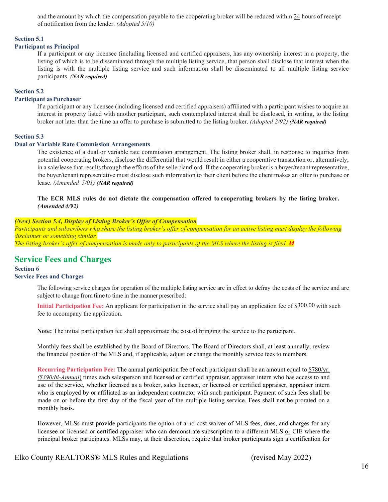and the amount by which the compensation payable to the cooperating broker will be reduced within 24 hours of receipt of notification from the lender. *(Adopted 5/10)*

#### **Section 5.1**

#### **Participant as Principal**

If a participant or any licensee (including licensed and certified appraisers, has any ownership interest in a property, the listing of which is to be disseminated through the multiple listing service, that person shall disclose that interest when the listing is with the multiple listing service and such information shall be disseminated to all multiple listing service participants. *(NAR required)*

#### **Section 5.2**

#### **Participant asPurchaser**

If a participant or any licensee (including licensed and certified appraisers) affiliated with a participant wishes to acquire an interest in property listed with another participant, such contemplated interest shall be disclosed, in writing, to the listing broker not later than the time an offer to purchase is submitted to the listing broker. *(Adopted 2/92) (NAR required)*

#### **Section 5.3**

#### **Dual or Variable Rate Commission Arrangements**

The existence of a dual or variable rate commission arrangement. The listing broker shall, in response to inquiries from potential cooperating brokers, disclose the differential that would result in either a cooperative transaction or, alternatively, in a sale/lease that results through the efforts of the seller/landlord. If the cooperating broker is a buyer/tenant representative, the buyer/tenant representative must disclose such information to their client before the client makes an offer to purchase or lease. *(Amended 5/01) (NAR required)*

**The ECR MLS rules do not dictate the compensation offered to cooperating brokers by the listing broker.**  *(Amended 4/92)*

#### *(New) Section 5.4, Display of Listing Broker's Offer of Compensation*

*Participants and subscribers who share the listing broker's offer of compensation for an active listing must display the following disclaimer or something similar.*

*The listing broker's offer of compensation is made only to participants of the MLS where the listing is filed. M* 

## **Service Fees and Charges**<br>Section 6

#### **Service Fees and Charges**

The following service charges for operation of the multiple listing service are in effect to defray the costs of the service and are subject to change from time to time in the manner prescribed:

**Initial Participation Fee:** An applicant for participation in the service shall pay an application fee of \$300.00 with such fee to accompany the application.

**Note:** The initial participation fee shall approximate the cost of bringing the service to the participant.

Monthly fees shall be established by the Board of Directors. The Board of Directors shall, at least annually, review the financial position of the MLS and, if applicable, adjust or change the monthly service fees to members.

**Recurring Participation Fee:** The annual participation fee of each participant shall be an amount equal to \$780/yr. *(\$390/bi-Annual*) times each salesperson and licensed or certified appraiser, appraiser intern who has access to and use of the service, whether licensed as a broker, sales licensee, or licensed or certified appraiser, appraiser intern who is employed by or affiliated as an independent contractor with such participant. Payment of such fees shall be made on or before the first day of the fiscal year of the multiple listing service. Fees shall not be prorated on a monthly basis.

However, MLSs must provide participants the option of a no-cost waiver of MLS fees, dues, and charges for any licensee or licensed or certified appraiser who can demonstrate subscription to a different MLS or CIE where the principal broker participates. MLSs may, at their discretion, require that broker participants sign a certification for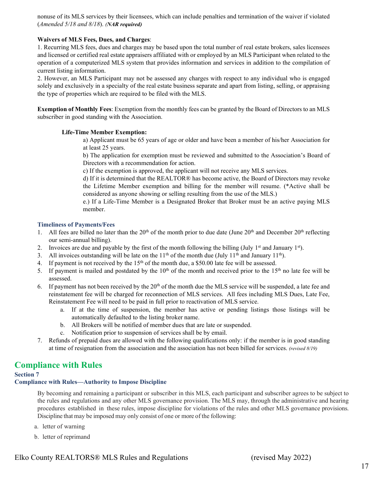nonuse of its MLS services by their licensees, which can include penalties and termination of the waiver if violated (*Amended 5/18 and 8/18*). *(NAR required)*

#### **Waivers of MLS Fees, Dues, and Charges**:

1. Recurring MLS fees, dues and charges may be based upon the total number of real estate brokers, sales licensees and licensed or certified real estate appraisers affiliated with or employed by an MLS Participant when related to the operation of a computerized MLS system that provides information and services in addition to the compilation of current listing information.

2. However, an MLS Participant may not be assessed any charges with respect to any individual who is engaged solely and exclusively in a specialty of the real estate business separate and apart from listing, selling, or appraising the type of properties which are required to be filed with the MLS.

**Exemption of Monthly Fees**: Exemption from the monthly fees can be granted by the Board of Directors to an MLS subscriber in good standing with the Association.

#### **Life-Time Member Exemption:**

a) Applicant must be 65 years of age or older and have been a member of his/her Association for at least 25 years.

b) The application for exemption must be reviewed and submitted to the Association's Board of Directors with a recommendation for action.

c) If the exemption is approved, the applicant will not receive any MLS services.

d) If it is determined that the REALTOR® has become active, the Board of Directors may revoke the Lifetime Member exemption and billing for the member will resume. (\*Active shall be considered as anyone showing or selling resulting from the use of the MLS.)

e.) If a Life-Time Member is a Designated Broker that Broker must be an active paying MLS member.

#### **Timeliness of Payments/Fees**

- 1. All fees are billed no later than the  $20^{th}$  of the month prior to due date (June  $20^{th}$  and December  $20^{th}$  reflecting our semi-annual billing).
- 2. Invoices are due and payable by the first of the month following the billing (July  $1<sup>st</sup>$  and January  $1<sup>st</sup>$ ).
- 3. All invoices outstanding will be late on the  $11<sup>th</sup>$  of the month due (July  $11<sup>th</sup>$  and January  $11<sup>th</sup>$ ).
- 4. If payment is not received by the  $15<sup>th</sup>$  of the month due, a \$50.00 late fee will be assessed.
- 5. If payment is mailed and postdated by the  $10<sup>th</sup>$  of the month and received prior to the  $15<sup>th</sup>$  no late fee will be assessed.
- 6. If payment has not been received by the  $20<sup>th</sup>$  of the month due the MLS service will be suspended, a late fee and reinstatement fee will be charged for reconnection of MLS services. All fees including MLS Dues, Late Fee, Reinstatement Fee will need to be paid in full prior to reactivation of MLS service.
	- a. If at the time of suspension, the member has active or pending listings those listings will be automatically defaulted to the listing broker name.
	- b. All Brokers will be notified of member dues that are late or suspended.
	- c. Notification prior to suspension of services shall be by email.
- 7. Refunds of prepaid dues are allowed with the following qualifications only: if the member is in good standing at time of resignation from the association and the association has not been billed for services. *(revised 8/19)*

## **Compliance with Rules**

**Section 7** 

#### **Compliance with Rules—Authority to Impose Discipline**

By becoming and remaining a participant or subscriber in this MLS, each participant and subscriber agrees to be subject to the rules and regulations and any other MLS governance provision. The MLS may, through the administrative and hearing procedures established in these rules, impose discipline for violations of the rules and other MLS governance provisions. Discipline that may be imposed may only consist of one or more of the following:

- a. letter of warning
- b. letter of reprimand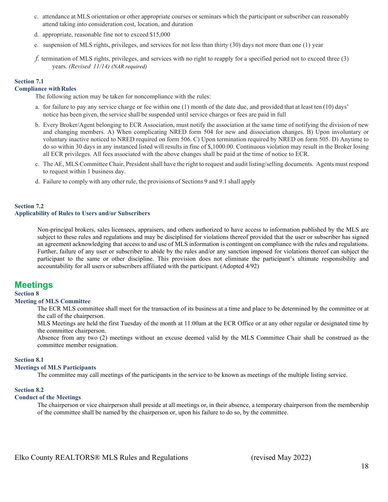- c. attendance at MLS orientation or other appropriate courses or seminars which the participant or subscriber can reasonably attend taking into consideration cost, location, and duration
- d. appropriate, reasonable fine not to exceed \$15,000
- e. suspension of MLS rights, privileges, and services for not less than thirty (30) days not more than one (1) year
- *f.* termination of MLS rights, privileges, and services with no right to reapply for a specified period not to exceed three (3) years. *(Revised 11/14) (NAR required)*

#### **Section 7.1**

#### **Compliance withRules**

The following action may be taken for noncompliance with the rules:

- a. for failure to pay any service charge or fee within one (1) month of the date due, and provided that at least ten (10) days' notice has been given, the service shall be suspended until service charges or fees are paid in full
- b. Every Broker/Agent belonging to ECR Association, must notify the association at the same time of notifying the division of new and changing members. A) When complicating NRED form 504 for new and dissociation changes. B) Upon involuntary or voluntary inactive noticed to NRED required on form 506. C) Upon termination required by NRED on form 505. D) Anytime to do so within 30 days in any instanced listed will results in fine of \$,1000.00. Continuous violation may result in the Broker losing all ECR privileges. All fees associated with the above changes shall be paid at the time of notice to ECR.
- c. The AE, MLS Committee Chair, President shall have the right to request and audit listing/selling documents. Agents must respond to request within 1 business day.
- d. Failure to comply with any other rule, the provisions of Sections 9 and 9.1 shall apply

#### **Section 7.2 Applicability of Rules to Users and/or Subscribers**

Non-principal brokers, sales licensees, appraisers, and others authorized to have access to information published by the MLS are subject to these rules and regulations and may be disciplined for violations thereof provided that the user or subscriber has signed an agreement acknowledging that access to and use of MLS information is contingent on compliance with the rules and regulations. Further, failure of any user or subscriber to abide by the rules and/or any sanction imposed for violations thereof can subject the participant to the same or other discipline. This provision does not eliminate the participant's ultimate responsibility and accountability for all users or subscribers affiliated with the participant. (Adopted 4/92)

## **Meetings**

#### **Section 8**

#### **Meeting of MLS Committee**

The ECR MLS committee shall meet for the transaction of its business at a time and place to be determined by the committee or at the call of the chairperson.

MLS Meetings are held the first Tuesday of the month at 11:00am at the ECR Office or at any other regular or designated time by the committee chairperson.

Absence from any two (2) meetings without an excuse deemed valid by the MLS Committee Chair shall be construed as the committee member resignation.

#### **Section 8.1**

#### **Meetings of MLS Participants**

The committee may call meetings of the participants in the service to be known as meetings of the multiple listing service.

#### **Section 8.2**

#### **Conduct of the Meetings**

The chairperson or vice chairperson shall preside at all meetings or, in their absence, a temporary chairperson from the membership of the committee shall be named by the chairperson or, upon his failure to do so, by the committee.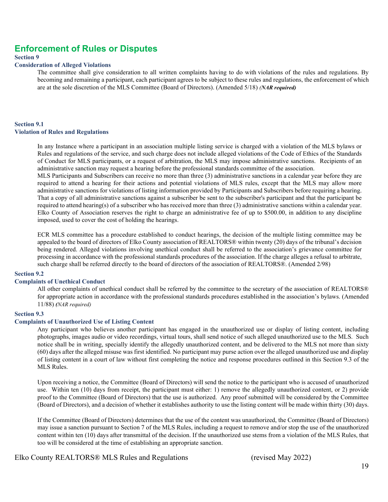## **Enforcement of Rules or Disputes**

#### **Section 9**

#### **Consideration of Alleged Violations**

The committee shall give consideration to all written complaints having to do with violations of the rules and regulations. By becoming and remaining a participant, each participant agrees to be subject to these rules and regulations, the enforcement of which are at the sole discretion of the MLS Committee (Board of Directors). (Amended 5/18) *(NAR required)*

#### **Section 9.1 Violation of Rules and Regulations**

In any Instance where a participant in an association multiple listing service is charged with a violation of the MLS bylaws or Rules and regulations of the service, and such charge does not include alleged violations of the Code of Ethics of the Standards of Conduct for MLS participants, or a request of arbitration, the MLS may impose administrative sanctions. Recipients of an administrative sanction may request a hearing before the professional standards committee of the association.

MLS Participants and Subscribers can receive no more than three (3) administrative sanctions in a calendar year before they are required to attend a hearing for their actions and potential violations of MLS rules, except that the MLS may allow more administrative sanctions for violations of listing information provided by Participants and Subscribers before requiring a hearing. That a copy of all administrative sanctions against a subscriber be sent to the subscriber's participant and that the participant be required to attend hearing(s) of a subscriber who has received more than three (3) administrative sanctions within a calendar year. Elko County of Association reserves the right to charge an administrative fee of up to \$500.00, in addition to any discipline imposed, used to cover the cost of holding the hearings.

ECR MLS committee has a procedure established to conduct hearings, the decision of the multiple listing committee may be appealed to the board of directors of Elko County association of REALTORS® within twenty (20) days of the tribunal's decision being rendered. Alleged violations involving unethical conduct shall be referred to the association's grievance committee for processing in accordance with the professional standards procedures of the association. If the charge alleges a refusal to arbitrate, such charge shall be referred directly to the board of directors of the association of REALTORS®. (Amended 2/98)

#### **Section 9.2**

#### **Complaints of Unethical Conduct**

All other complaints of unethical conduct shall be referred by the committee to the secretary of the association of REALTORS® for appropriate action in accordance with the professional standards procedures established in the association's bylaws. (Amended 11/88) *(NAR required)*

#### **Section 9.3**

#### **Complaints of Unauthorized Use of Listing Content**

Any participant who believes another participant has engaged in the unauthorized use or display of listing content, including photographs, images audio or video recordings, virtual tours, shall send notice of such alleged unauthorized use to the MLS. Such notice shall be in writing, specially identify the allegedly unauthorized content, and be delivered to the MLS not more than sixty (60) days after the alleged misuse was first identified. No participant may purse action over the alleged unauthorized use and display of listing content in a court of law without first completing the notice and response procedures outlined in this Section 9.3 of the MLS Rules.

Upon receiving a notice, the Committee (Board of Directors) will send the notice to the participant who is accused of unauthorized use. Within ten (10) days from receipt, the participant must either: 1) remove the allegedly unauthorized content, or 2) provide proof to the Committee (Board of Directors) that the use is authorized. Any proof submitted will be considered by the Committee (Board of Directors), and a decision of whether it establishes authority to use the listing content will be made within thirty (30) days.

If the Committee (Board of Directors) determines that the use of the content was unauthorized, the Committee (Board of Directors) may issue a sanction pursuant to Section 7 of the MLS Rules, including a request to remove and/or stop the use of the unauthorized content within ten (10) days after transmittal of the decision. If the unauthorized use stems from a violation of the MLS Rules, that too will be considered at the time of establishing an appropriate sanction.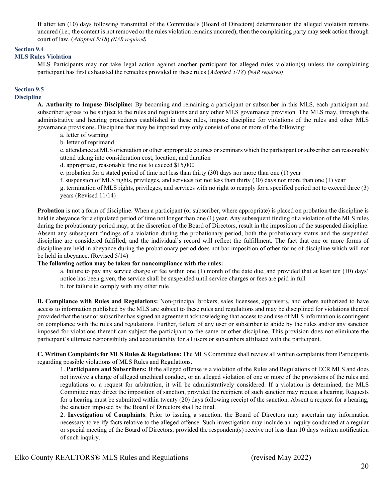If after ten (10) days following transmittal of the Committee's (Board of Directors) determination the alleged violation remains uncured (i.e., the content is not removed or the rules violation remains uncured), then the complaining party may seek action through court of law. (*Adopted 5/18*) *(NAR required)*

#### **Section 9.4**

#### **MLS Rules Violation**

MLS Participants may not take legal action against another participant for alleged rules violation(s) unless the complaining participant has first exhausted the remedies provided in these rules (*Adopted 5/18*) *(NAR required)*

#### **Section 9.5**

#### **Discipline**

**A. Authority to Impose Discipline:** By becoming and remaining a participant or subscriber in this MLS, each participant and subscriber agrees to be subject to the rules and regulations and any other MLS governance provision. The MLS may, through the administrative and hearing procedures established in these rules, impose discipline for violations of the rules and other MLS governance provisions. Discipline that may be imposed may only consist of one or more of the following:

- a. letter of warning
- b. letter of reprimand

c. attendance at MLS orientation or other appropriate courses or seminars which the participant or subscriber can reasonably attend taking into consideration cost, location, and duration

d. appropriate, reasonable fine not to exceed \$15,000

e. probation for a stated period of time not less than thirty (30) days nor more than one (1) year

f. suspension of MLS rights, privileges, and services for not less than thirty (30) days nor more than one (1) year

g. termination of MLS rights, privileges, and services with no right to reapply for a specified period not to exceed three (3) years (Revised 11/14)

**Probation** is not a form of discipline. When a participant (or subscriber, where appropriate) is placed on probation the discipline is held in abeyance for a stipulated period of time not longer than one (1) year. Any subsequent finding of a violation of the MLS rules during the probationary period may, at the discretion of the Board of Directors, result in the imposition of the suspended discipline. Absent any subsequent findings of a violation during the probationary period, both the probationary status and the suspended discipline are considered fulfilled, and the individual's record will reflect the fulfillment. The fact that one or more forms of discipline are held in abeyance during the probationary period does not bar imposition of other forms of discipline which will not be held in abeyance. (Revised 5/14)

#### **The following action may be taken for noncompliance with the rules:**

a. failure to pay any service charge or fee within one (1) month of the date due, and provided that at least ten (10) days' notice has been given, the service shall be suspended until service charges or fees are paid in full b. for failure to comply with any other rule

**B. Compliance with Rules and Regulations:** Non-principal brokers, sales licensees, appraisers, and others authorized to have access to information published by the MLS are subject to these rules and regulations and may be disciplined for violations thereof provided that the user or subscriber has signed an agreement acknowledging that access to and use of MLS information is contingent on compliance with the rules and regulations. Further, failure of any user or subscriber to abide by the rules and/or any sanction imposed for violations thereof can subject the participant to the same or other discipline. This provision does not eliminate the participant's ultimate responsibility and accountability for all users or subscribers affiliated with the participant.

**C. Written Complaints for MLS Rules & Regulations:** The MLS Committee shall review all written complaints from Participants regarding possible violations of MLS Rules and Regulations.

1. **Participants and Subscribers:** If the alleged offense is a violation of the Rules and Regulations of ECR MLS and does not involve a charge of alleged unethical conduct, or an alleged violation of one or more of the provisions of the rules and regulations or a request for arbitration, it will be administratively considered. If a violation is determined, the MLS Committee may direct the imposition of sanction, provided the recipient of such sanction may request a hearing. Requests for a hearing must be submitted within twenty (20) days following receipt of the sanction. Absent a request for a hearing, the sanction imposed by the Board of Directors shall be final.

2. **Investigation of Complaints**: Prior to issuing a sanction, the Board of Directors may ascertain any information necessary to verify facts relative to the alleged offense. Such investigation may include an inquiry conducted at a regular or special meeting of the Board of Directors, provided the respondent(s) receive not less than 10 days written notification of such inquiry.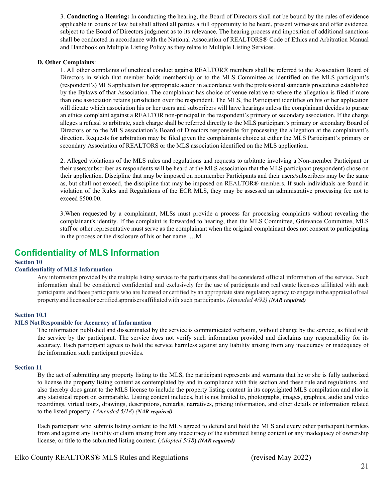3. **Conducting a Hearing:** In conducting the hearing, the Board of Directors shall not be bound by the rules of evidence applicable in courts of law but shall afford all parties a full opportunity to be heard, present witnesses and offer evidence, subject to the Board of Directors judgment as to its relevance. The hearing process and imposition of additional sanctions shall be conducted in accordance with the National Association of REALTORS® Code of Ethics and Arbitration Manual and Handbook on Multiple Listing Policy as they relate to Multiple Listing Services.

#### **D. Other Complaints**:

1. All other complaints of unethical conduct against REALTOR® members shall be referred to the Association Board of Directors in which that member holds membership or to the MLS Committee as identified on the MLS participant's (respondent's) MLS application for appropriate action in accordance with the professional standards procedures established by the Bylaws of that Association. The complainant has choice of venue relative to where the allegation is filed if more than one association retains jurisdiction over the respondent. The MLS, the Participant identifies on his or her application will dictate which association his or her users and subscribers will have hearings unless the complainant decides to pursue an ethics complaint against a REALTOR non-principal in the respondent's primary or secondary association. If the charge alleges a refusal to arbitrate, such charge shall be referred directly to the MLS participant's primary or secondary Board of Directors or to the MLS association's Board of Directors responsible for processing the allegation at the complainant's direction. Requests for arbitration may be filed given the complainants choice at either the MLS Participant's primary or secondary Association of REALTORS or the MLS association identified on the MLS application.

2. Alleged violations of the MLS rules and regulations and requests to arbitrate involving a Non-member Participant or their users/subscriber as respondents will be heard at the MLS association that the MLS participant (respondent) chose on their application. Discipline that may be imposed on nonmember Participants and their users/subscribers may be the same as, but shall not exceed, the discipline that may be imposed on REALTOR® members. If such individuals are found in violation of the Rules and Regulations of the ECR MLS, they may be assessed an administrative processing fee not to exceed \$500.00.

3.When requested by a complainant, MLSs must provide a process for processing complaints without revealing the complainant's identity. If the complaint is forwarded to hearing, then the MLS Committee, Grievance Committee, MLS staff or other representative must serve as the complainant when the original complainant does not consent to participating in the process or the disclosure of his or her name. …M

## **Confidentiality of MLS Information**

#### **Section 10**

#### **Confidentiality of MLS Information**

Any information provided by the multiple listing service to the participants shall be considered official information of the service. Such information shall be considered confidential and exclusively for the use of participants and real estate licensees affiliated with such participants and those participants who are licensed or certified by an appropriate state regulatory agency to engage in the appraisalofreal propertyandlicensedorcertifiedappraisersaffiliatedwith such participants. *(Amended 4/92) (NAR required)*

#### **Section 10.1**

#### **MLS NotResponsible for Accuracy of Information**

The information published and disseminated by the service is communicated verbatim, without change by the service, as filed with the service by the participant. The service does not verify such information provided and disclaims any responsibility for its accuracy. Each participant agrees to hold the service harmless against any liability arising from any inaccuracy or inadequacy of the information such participant provides.

#### **Section 11**

By the act of submitting any property listing to the MLS, the participant represents and warrants that he or she is fully authorized to license the property listing content as contemplated by and in compliance with this section and these rule and regulations, and also thereby does grant to the MLS license to include the property listing content in its copyrighted MLS compilation and also in any statistical report on comparable. Listing content includes, but is not limited to, photographs, images, graphics, audio and video recordings, virtual tours, drawings, descriptions, remarks, narratives, pricing information, and other details or information related to the listed property. (*Amended 5/18*) *(NAR required)*

Each participant who submits listing content to the MLS agreed to defend and hold the MLS and every other participant harmless from and against any liability or claim arising from any inaccuracy of the submitted listing content or any inadequacy of ownership license, or title to the submitted listing content. (*Adopted 5/18*) *(NAR required)*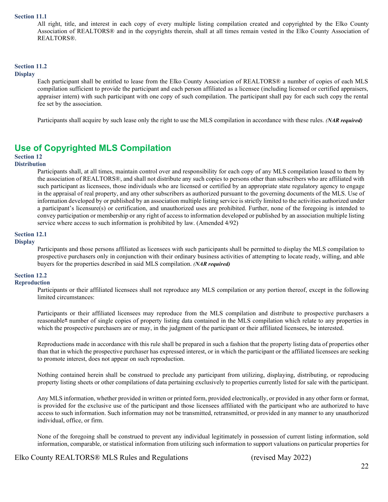#### **Section 11.1**

All right, title, and interest in each copy of every multiple listing compilation created and copyrighted by the Elko County Association of REALTORS® and in the copyrights therein, shall at all times remain vested in the Elko County Association of REALTORS®.

#### **Section 11.2**

#### **Display**

Each participant shall be entitled to lease from the Elko County Association of REALTORS® a number of copies of each MLS compilation sufficient to provide the participant and each person affiliated as a licensee (including licensed or certified appraisers, appraiser intern) with such participant with one copy of such compilation. The participant shall pay for each such copy the rental fee set by the association.

Participants shall acquire by such lease only the right to use the MLS compilation in accordance with these rules. *(NAR required)*

## **Use of Copyrighted MLS Compilation**

## **Section 12**

#### **Distribution**

Participants shall, at all times, maintain control over and responsibility for each copy of any MLS compilation leased to them by the association of REALTORS®, and shall not distribute any such copies to persons other than subscribers who are affiliated with such participant as licensees, those individuals who are licensed or certified by an appropriate state regulatory agency to engage in the appraisal of real property, and any other subscribers as authorized pursuant to the governing documents of the MLS. Use of information developed by or published by an association multiple listing service is strictly limited to the activities authorized under a participant's licensure(s) or certification, and unauthorized uses are prohibited. Further, none of the foregoing is intended to convey participation or membership or any right of access to information developed or published by an association multiple listing service where access to such information is prohibited by law. (Amended 4/92)

#### **Section 12.1**

#### **Display**

Participants and those persons affiliated as licensees with such participants shall be permitted to display the MLS compilation to prospective purchasers only in conjunction with their ordinary business activities of attempting to locate ready, willing, and able buyers for the properties described in said MLS compilation. *(NAR required)*

### **Section 12.2**

#### **Reproduction**

Participants or their affiliated licensees shall not reproduce any MLS compilation or any portion thereof, except in the following limited circumstances:

Participants or their affiliated licensees may reproduce from the MLS compilation and distribute to prospective purchasers a reasonable\* number of single copies of property listing data contained in the MLS compilation which relate to any properties in which the prospective purchasers are or may, in the judgment of the participant or their affiliated licensees, be interested.

Reproductions made in accordance with this rule shall be prepared in such a fashion that the property listing data of properties other than that in which the prospective purchaser has expressed interest, or in which the participant or the affiliated licensees are seeking to promote interest, does not appear on such reproduction.

Nothing contained herein shall be construed to preclude any participant from utilizing, displaying, distributing, or reproducing property listing sheets or other compilations of data pertaining exclusively to properties currently listed for sale with the participant.

Any MLS information, whether provided in written or printed form, provided electronically, or provided in any other form or format, is provided for the exclusive use of the participant and those licensees affiliated with the participant who are authorized to have access to such information. Such information may not be transmitted, retransmitted, or provided in any manner to any unauthorized individual, office, or firm.

None of the foregoing shall be construed to prevent any individual legitimately in possession of current listing information, sold information, comparable, or statistical information from utilizing such information to support valuations on particular properties for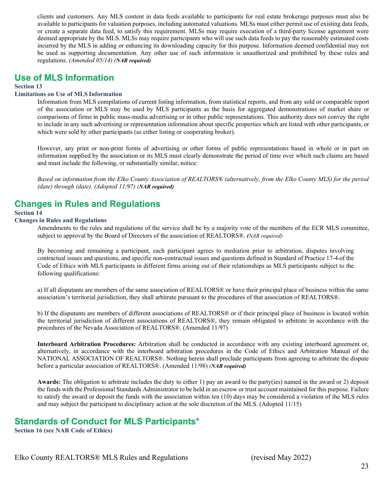clients and customers. Any MLS content in data feeds available to participants for real estate brokerage purposes must also be available to participants for valuation purposes, including automated valuations. MLSs must either permit use of existing data feeds, or create a separate data feed, to satisfy this requirement. MLSs may require execution of a third-party license agreement were deemed appropriate by the MLS. MLSs may require participants who will use such data feeds to pay the reasonably estimated costs incurred by the MLS in adding or enhancing its downloading capacity for this purpose. Information deemed confidential may not be used as supporting documentation. Any other use of such information is unauthorized and prohibited by these rules and regulations. *(Amended 05/14) (NAR required)*

## **Use of MLS Information**

**Section 13** 

#### **Limitations on Use of MLS Information**

Information from MLS compilations of current listing information, from statistical reports, and from any sold or comparable report of the association or MLS may be used by MLS participants as the basis for aggregated demonstrations of market share or comparisons of firms in public mass-media advertising or in other public representations. This authority does not convey the right to include in any such advertising or representation information about specific properties which are listed with other participants, or which were sold by other participants (as either listing or cooperating broker).

However, any print or non-print forms of advertising or other forms of public representations based in whole or in part on information supplied by the association or its MLS must clearly demonstrate the period of time over which such claims are based and must include the following, or substantially similar, notice:

*Based on information from the Elko County Association of REALTORS® (alternatively, from the Elko County MLS) for the period (date) through (date). (Adopted 11/97) (NAR required)*

## **Changes in Rules and Regulations**

#### **Section 14**

#### **Changes in Rules and Regulations**

Amendments to the rules and regulations of the service shall be by a majority vote of the members of the ECR MLS committee, subject to approval by the Board of Directors of the association of REALTORS®. *(NAR required)*

By becoming and remaining a participant, each participant agrees to mediation prior to arbitration, disputes involving contractual issues and questions, and specific non-contractual issues and questions defined in Standard of Practice 17-4 of the Code of Ethics with MLS participants in different firms arising out of their relationships as MLS participants subject to the following qualifications:

a) If all disputants are members of the same association of REALTORS® or have their principal place of business within the same association's territorial jurisdiction, they shall arbitrate pursuant to the procedures of that association of REALTORS®.

b) If the disputants are members of different associations of REALTORS® or if their principal place of business is located within the territorial jurisdiction of different associations of REALTORS®, they remain obligated to arbitrate in accordance with the procedures of the Nevada Association of REALTORS®. (Amended 11/97)

**Interboard Arbitration Procedures:** Arbitration shall be conducted in accordance with any existing interboard agreement or, alternatively, in accordance with the interboard arbitration procedures in the Code of Ethics and Arbitration Manual of the NATIONAL ASSOCIATION OF REALTORS®. Nothing herein shall preclude participants from agreeing to arbitrate the dispute before a particular association of REALTORS®. (Amended 11/98) *(NAR required)*

**Awards:** The obligation to arbitrate includes the duty to either 1) pay an award to the party(ies) named in the award or 2) deposit the funds with the Professional Standards Administrator to be held in an escrow or trust account maintained for this purpose. Failure to satisfy the award or deposit the funds with the association within ten (10) days may be considered a violation of the MLS rules and may subject the participant to disciplinary action at the sole discretion of the MLS. (Adopted 11/15)

## **Standards of Conduct for MLS Participants\***

**Section 16 (see NAR Code of Ethics)**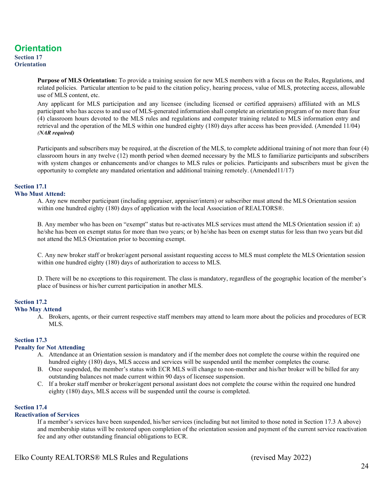## **Orientation**

#### **Section 17 Orientation**

**Purpose of MLS Orientation:** To provide a training session for new MLS members with a focus on the Rules, Regulations, and related policies. Particular attention to be paid to the citation policy, hearing process, value of MLS, protecting access, allowable use of MLS content, etc.

Any applicant for MLS participation and any licensee (including licensed or certified appraisers) affiliated with an MLS participant who has access to and use of MLS-generated information shall complete an orientation program of no more than four (4) classroom hours devoted to the MLS rules and regulations and computer training related to MLS information entry and retrieval and the operation of the MLS within one hundred eighty (180) days after access has been provided. (Amended 11/04) *(NAR required)*

Participants and subscribers may be required, at the discretion of the MLS, to complete additional training of not more than four (4) classroom hours in any twelve (12) month period when deemed necessary by the MLS to familiarize participants and subscribers with system changes or enhancements and/or changes to MLS rules or policies. Participants and subscribers must be given the opportunity to complete any mandated orientation and additional training remotely. (Amended11/17)

#### **Section 17.1**

#### **Who Must Attend:**

A. Any new member participant (including appraiser, appraiser/intern) or subscriber must attend the MLS Orientation session within one hundred eighty (180) days of application with the local Association of REALTORS®.

B. Any member who has been on "exempt" status but re-activates MLS services must attend the MLS Orientation session if: a) he/she has been on exempt status for more than two years; or b) he/she has been on exempt status for less than two years but did not attend the MLS Orientation prior to becoming exempt.

C. Any new broker staff or broker/agent personal assistant requesting access to MLS must complete the MLS Orientation session within one hundred eighty (180) days of authorization to access to MLS.

D. There will be no exceptions to this requirement. The class is mandatory, regardless of the geographic location of the member's place of business or his/her current participation in another MLS.

#### **Section 17.2**

#### **Who May Attend**

A. Brokers, agents, or their current respective staff members may attend to learn more about the policies and procedures of ECR MLS.

#### **Section 17.3**

#### **Penalty for Not Attending**

- A. Attendance at an Orientation session is mandatory and if the member does not complete the course within the required one hundred eighty (180) days, MLS access and services will be suspended until the member completes the course.
- B. Once suspended, the member's status with ECR MLS will change to non-member and his/her broker will be billed for any outstanding balances not made current within 90 days of licensee suspension.
- C. If a broker staff member or broker/agent personal assistant does not complete the course within the required one hundred eighty (180) days, MLS access will be suspended until the course is completed.

#### **Section 17.4**

#### **Reactivation of Services**

If a member's services have been suspended, his/her services (including but not limited to those noted in Section 17.3 A above) and membership status will be restored upon completion of the orientation session and payment of the current service reactivation fee and any other outstanding financial obligations to ECR.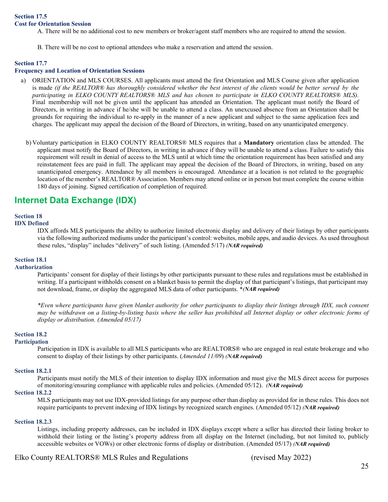A. There will be no additional cost to new members or broker/agent staff members who are required to attend the session.

B. There will be no cost to optional attendees who make a reservation and attend the session.

#### **Section 17.7**

#### **Frequency and Location of Orientation Sessions**

- a) ORIENTATION and MLS COURSES. All applicants must attend the first Orientation and MLS Course given after application is made *(if the REALTOR® has thoroughly considered whether the best interest of the clients would be better served by the participating in ELKO COUNTY REALTORS® MLS and has chosen to participate in ELKO COUNTY REALTORS® MLS).* Final membership will not be given until the applicant has attended an Orientation. The applicant must notify the Board of Directors, in writing in advance if he/she will be unable to attend a class. An unexcused absence from an Orientation shall be grounds for requiring the individual to re-apply in the manner of a new applicant and subject to the same application fees and charges. The applicant may appeal the decision of the Board of Directors, in writing, based on any unanticipated emergency.
	- b) Voluntary participation in ELKO COUNTY REALTORS® MLS requires that a **Mandatory** orientation class be attended. The applicant must notify the Board of Directors, in writing in advance if they will be unable to attend a class. Failure to satisfy this requirement will result in denial of access to the MLS until at which time the orientation requirement has been satisfied and any reinstatement fees are paid in full. The applicant may appeal the decision of the Board of Directors, in writing, based on any unanticipated emergency. Attendance by all members is encouraged. Attendance at a location is not related to the geographic location of the member's REALTOR® Association. Members may attend online or in person but must complete the course within 180 days of joining. Signed certification of completion of required.

## **Internet Data Exchange (IDX)**

## **Section 18**

## **IDX Defined**

IDX affords MLS participants the ability to authorize limited electronic display and delivery of their listings by other participants via the following authorized mediums under the participant's control: websites, mobile apps, and audio devices. As used throughout these rules, "display" includes "delivery" of such listing. (Amended 5/17) *(NAR required)*

#### **Section 18.1**

#### **Authorization**

Participants' consent for display of their listings by other participants pursuant to these rules and regulations must be established in writing. If a participant withholds consent on a blanket basis to permit the display of that participant's listings, that participant may not download, frame, or display the aggregated MLS data of other participants. \**(NAR required)*

*\*Even where participants have given blanket authority for other participants to display their listings through IDX, such consent may be withdrawn on a listing-by-listing basis where the seller has prohibited all Internet display or other electronic forms of display or distribution. (Amended 05/17)*

#### **Section 18.2**

#### **Participation**

Participation in IDX is available to all MLS participants who are REALTORS® who are engaged in real estate brokerage and who consent to display of their listings by other participants. (*Amended 11/09*) *(NAR required)*

#### **Section 18.2.1**

Participants must notify the MLS of their intention to display IDX information and must give the MLS direct access for purposes of monitoring/ensuring compliance with applicable rules and policies. (Amended 05/12). *(NAR required)*

#### **Section 18.2.2**

MLS participants may not use IDX-provided listings for any purpose other than display as provided for in these rules. This does not require participants to prevent indexing of IDX listings by recognized search engines. (Amended 05/12) *(NAR required)*

#### **Section 18.2.3**

Listings, including property addresses, can be included in IDX displays except where a seller has directed their listing broker to withhold their listing or the listing's property address from all display on the Internet (including, but not limited to, publicly accessible websites or VOWs) or other electronic forms of display or distribution. (Amended 05/17) *(NAR required)*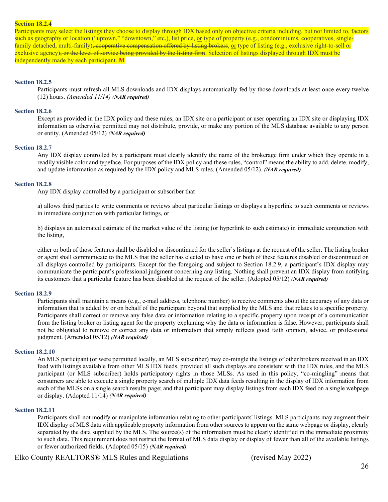#### **Section 18.2.4**

Participants may select the listings they choose to display through IDX based only on objective criteria including, but not limited to, factors such as geography or location ("uptown," "downtown," etc.), list price, or type of property (e.g., condominiums, cooperatives, singlefamily detached, multi-family), cooperative compensation offered by listing brokers, or type of listing (e.g., exclusive right-to-sell or exclusive agency), or the level of service being provided by the listing firm. Selection of listings displayed through IDX must be independently made by each participant. **M**

#### **Section 18.2.5**

Participants must refresh all MLS downloads and IDX displays automatically fed by those downloads at least once every twelve (12) hours. *(Amended 11/14) (NAR required)*

#### **Section 18.2.6**

Except as provided in the IDX policy and these rules, an IDX site or a participant or user operating an IDX site or displaying IDX information as otherwise permitted may not distribute, provide, or make any portion of the MLS database available to any person or entity. (Amended 05/12) *(NAR required)*

#### **Section 18.2.7**

Any IDX display controlled by a participant must clearly identify the name of the brokerage firm under which they operate in a readily visible color and typeface. For purposes of the IDX policy and these rules, "control" means the ability to add, delete, modify, and update information as required by the IDX policy and MLS rules. (Amended 05/12). *(NAR required)*

#### **Section 18.2.8**

Any IDX display controlled by a participant or subscriber that

a) allows third parties to write comments or reviews about particular listings or displays a hyperlink to such comments or reviews in immediate conjunction with particular listings, or

b) displays an automated estimate of the market value of the listing (or hyperlink to such estimate) in immediate conjunction with the listing,

either or both of those features shall be disabled or discontinued for the seller's listings at the request of the seller. The listing broker or agent shall communicate to the MLS that the seller has elected to have one or both of these features disabled or discontinued on all displays controlled by participants. Except for the foregoing and subject to Section 18.2.9, a participant's IDX display may communicate the participant's professional judgment concerning any listing. Nothing shall prevent an IDX display from notifying its customers that a particular feature has been disabled at the request of the seller. (Adopted 05/12) *(NAR required)*

#### **Section 18.2.9**

Participants shall maintain a means (e.g., e-mail address, telephone number) to receive comments about the accuracy of any data or information that is added by or on behalf of the participant beyond that supplied by the MLS and that relates to a specific property. Participants shall correct or remove any false data or information relating to a specific property upon receipt of a communication from the listing broker or listing agent for the property explaining why the data or information is false. However, participants shall not be obligated to remove or correct any data or information that simply reflects good faith opinion, advice, or professional judgment. (Amended 05/12) *(NAR required)*

#### **Section 18.2.10**

An MLS participant (or were permitted locally, an MLS subscriber) may co-mingle the listings of other brokers received in an IDX feed with listings available from other MLS IDX feeds, provided all such displays are consistent with the IDX rules, and the MLS participant (or MLS subscriber) holds participatory rights in those MLSs. As used in this policy, "co-mingling" means that consumers are able to execute a single property search of multiple IDX data feeds resulting in the display of IDX information from each of the MLSs on a single search results page; and that participant may display listings from each IDX feed on a single webpage or display. (Adopted 11/14) *(NAR required)*

#### **Section 18.2.11**

Participants shall not modify or manipulate information relating to other participants' listings. MLS participants may augment their IDX display of MLS data with applicable property information from other sources to appear on the same webpage or display, clearly separated by the data supplied by the MLS. The source(s) of the information must be clearly identified in the immediate proximity to such data. This requirement does not restrict the format of MLS data display or display of fewer than all of the available listings or fewer authorized fields. (Adopted 05/15) *(NAR required)*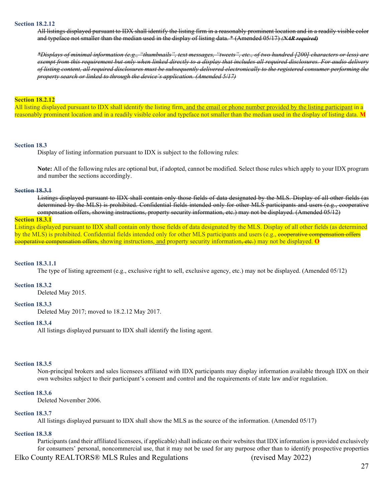#### **Section 18.2.12**

All listings displayed pursuant to IDX shall identify the listing firm in a reasonably prominent location and in a readily visible color and typeface not smaller than the median used in the display of listing data. \* (Amended 05/17) *(NAR required)*

*\*Displays of minimal information (e.g., "thumbnails", text messages, "tweets", etc., of two hundred [200] characters or less) are exempt from this requirement but only when linked directly to a display that includes all required disclosures. For audio delivery of listing content, all required disclosures must be subsequently delivered electronically to the registered consumer performing the property search or linked to through the device's application. (Amended 5/17)*

#### **Section 18.2.12**

All listing displayed pursuant to IDX shall identify the listing firm, and the email or phone number provided by the listing participant in a reasonably prominent location and in a readily visible color and typeface not smaller than the median used in the display of listing data. **M**

#### **Section 18.3**

Display of listing information pursuant to IDX is subject to the following rules:

**Note:** All of the following rules are optional but, if adopted, cannot be modified. Select those rules which apply to your IDX program and number the sections accordingly.

#### **Section 18.3.1**

Listings displayed pursuant to IDX shall contain only those fields of data designated by the MLS. Display of all other fields (as determined by the MLS) is prohibited. Confidential fields intended only for other MLS participants and users (e.g., cooperative compensation offers, showing instructions, property security information, etc.) may not be displayed. (Amended 05/12)

#### **Section 18.3.1**

Listings displayed pursuant to IDX shall contain only those fields of data designated by the MLS. Display of all other fields (as determined by the MLS) is prohibited. Confidential fields intended only for other MLS participants and users (e.g., cooperative compensation offers cooperative compensation offers, showing instructions, and property security information, etc.) may not be displayed. **O**

#### **Section 18.3.1.1**

The type of listing agreement (e.g., exclusive right to sell, exclusive agency, etc.) may not be displayed. (Amended 05/12)

#### **Section 18.3.2**

Deleted May 2015.

#### **Section 18.3.3**

Deleted May 2017; moved to 18.2.12 May 2017.

#### **Section 18.3.4**

All listings displayed pursuant to IDX shall identify the listing agent.

#### **Section 18.3.5**

Non-principal brokers and sales licensees affiliated with IDX participants may display information available through IDX on their own websites subject to their participant's consent and control and the requirements of state law and/or regulation.

#### **Section 18.3.6**

Deleted November 2006.

#### **Section 18.3.7**

All listings displayed pursuant to IDX shall show the MLS as the source of the information. (Amended 05/17)

#### **Section 18.3.8**

Participants (and their affiliated licensees, if applicable) shall indicate on their websites that IDX information is provided exclusively for consumers' personal, noncommercial use, that it may not be used for any purpose other than to identify prospective properties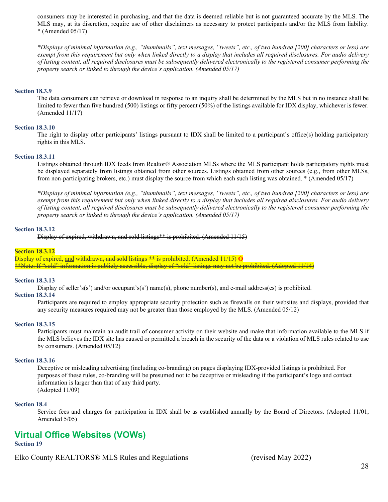consumers may be interested in purchasing, and that the data is deemed reliable but is not guaranteed accurate by the MLS. The MLS may, at its discretion, require use of other disclaimers as necessary to protect participants and/or the MLS from liability.  $*$  (Amended 05/17)

*\*Displays of minimal information (e.g., "thumbnails", text messages, "tweets", etc., of two hundred [200] characters or less) are exempt from this requirement but only when linked directly to a display that includes all required disclosures. For audio delivery of listing content, all required disclosures must be subsequently delivered electronically to the registered consumer performing the property search or linked to through the device's application. (Amended 05/17)* 

#### **Section 18.3.9**

The data consumers can retrieve or download in response to an inquiry shall be determined by the MLS but in no instance shall be limited to fewer than five hundred (500) listings or fifty percent (50%) of the listings available for IDX display, whichever is fewer. (Amended 11/17)

#### **Section 18.3.10**

The right to display other participants' listings pursuant to IDX shall be limited to a participant's office(s) holding participatory rights in this MLS.

#### **Section 18.3.11**

Listings obtained through IDX feeds from Realtor® Association MLSs where the MLS participant holds participatory rights must be displayed separately from listings obtained from other sources. Listings obtained from other sources (e.g., from other MLSs, from non-participating brokers, etc.) must display the source from which each such listing was obtained. \* (Amended 05/17)

*\*Displays of minimal information (e.g., "thumbnails", text messages, "tweets", etc., of two hundred [200] characters or less) are exempt from this requirement but only when linked directly to a display that includes all required disclosures. For audio delivery of listing content, all required disclosures must be subsequently delivered electronically to the registered consumer performing the property search or linked to through the device's application. (Amended 05/17)* 

#### **Section 18.3.12**

Display of expired, withdrawn, and sold listings\*\* is prohibited. (Amended 11/15)

#### **Section 18.3.12**

Display of expired, and withdrawn<del>, and sold</del> listings  $**$  is prohibited. (Amended 11/15) **O** \*\*Note: If "sold" information is publicly accessible, display of "sold" listings may not be prohibited. (Adopted 11/14)

#### **Section 18.3.13**

Display of seller's(s') and/or occupant's(s') name(s), phone number(s), and e-mail address(es) is prohibited.

#### **Section 18.3.14**

Participants are required to employ appropriate security protection such as firewalls on their websites and displays, provided that any security measures required may not be greater than those employed by the MLS. (Amended 05/12)

#### **Section 18.3.15**

Participants must maintain an audit trail of consumer activity on their website and make that information available to the MLS if the MLS believes the IDX site has caused or permitted a breach in the security of the data or a violation of MLS rules related to use by consumers. (Amended 05/12)

#### **Section 18.3.16**

Deceptive or misleading advertising (including co-branding) on pages displaying IDX-provided listings is prohibited. For purposes of these rules, co-branding will be presumed not to be deceptive or misleading if the participant's logo and contact information is larger than that of any third party. (Adopted 11/09)

#### **Section 18.4**

Service fees and charges for participation in IDX shall be as established annually by the Board of Directors. (Adopted 11/01, Amended 5/05)

## **Virtual Office Websites (VOWs)**

#### **Section 19**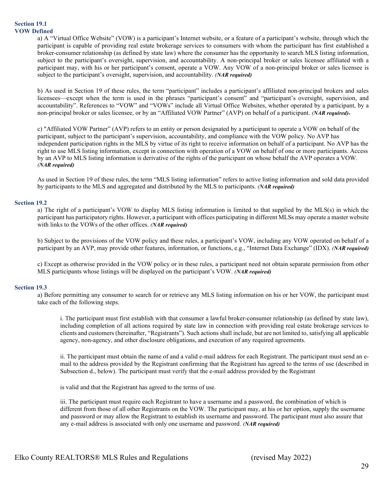#### **Section 19.1 VOW Defined**

a) A "Virtual Office Website" (VOW) is a participant's Internet website, or a feature of a participant's website, through which the participant is capable of providing real estate brokerage services to consumers with whom the participant has first established a broker-consumer relationship (as defined by state law) where the consumer has the opportunity to search MLS listing information, subject to the participant's oversight, supervision, and accountability. A non-principal broker or sales licensee affiliated with a participant may, with his or her participant's consent, operate a VOW. Any VOW of a non-principal broker or sales licensee is subject to the participant's oversight, supervision, and accountability. *(NAR required)*

b) As used in Section 19 of these rules, the term "participant" includes a participant's affiliated non-principal brokers and sales licensees—except when the term is used in the phrases "participant's consent" and "participant's oversight, supervision, and accountability". References to "VOW" and "VOWs" include all Virtual Office Websites, whether operated by a participant, by a non-principal broker or sales licensee, or by an "Affiliated VOW Partner" (AVP) on behalf of a participant. *(NAR required)*.

c) "Affiliated VOW Partner" (AVP) refers to an entity or person designated by a participant to operate a VOW on behalf of the participant, subject to the participant's supervision, accountability, and compliance with the VOW policy. No AVP has independent participation rights in the MLS by virtue of its right to receive information on behalf of a participant. No AVP has the right to use MLS listing information, except in connection with operation of a VOW on behalf of one or more participants. Access by an AVP to MLS listing information is derivative of the rights of the participant on whose behalf the AVP operates a VOW. *(NAR required)*

As used in Section 19 of these rules, the term "MLS listing information" refers to active listing information and sold data provided by participants to the MLS and aggregated and distributed by the MLS to participants. *(NAR required)*

#### **Section 19.2**

a) The right of a participant's VOW to display MLS listing information is limited to that supplied by the MLS(s) in which the participant has participatory rights. However, a participant with offices participating in different MLSs may operate a master website with links to the VOWs of the other offices. *(NAR required)*

b) Subject to the provisions of the VOW policy and these rules, a participant's VOW, including any VOW operated on behalf of a participant by an AVP, may provide other features, information, or functions, e.g., "Internet Data Exchange" (IDX). *(NAR required)*

c) Except as otherwise provided in the VOW policy or in these rules, a participant need not obtain separate permission from other MLS participants whose listings will be displayed on the participant's VOW. *(NAR required)*

#### **Section 19.3**

a) Before permitting any consumer to search for or retrieve any MLS listing information on his or her VOW, the participant must take each of the following steps.

i. The participant must first establish with that consumer a lawful broker-consumer relationship (as defined by state law), including completion of all actions required by state law in connection with providing real estate brokerage services to clients and customers (hereinafter, "Registrants"). Such actions shall include, but are not limited to, satisfying all applicable agency, non-agency, and other disclosure obligations, and execution of any required agreements.

ii. The participant must obtain the name of and a valid e-mail address for each Registrant. The participant must send an email to the address provided by the Registrant confirming that the Registrant has agreed to the terms of use (described in Subsection d., below). The participant must verify that the e-mail address provided by the Registrant

is valid and that the Registrant has agreed to the terms of use.

iii. The participant must require each Registrant to have a username and a password, the combination of which is different from those of all other Registrants on the VOW. The participant may, at his or her option, supply the username and password or may allow the Registrant to establish its username and password. The participant must also assure that any e-mail address is associated with only one username and password. *(NAR required)*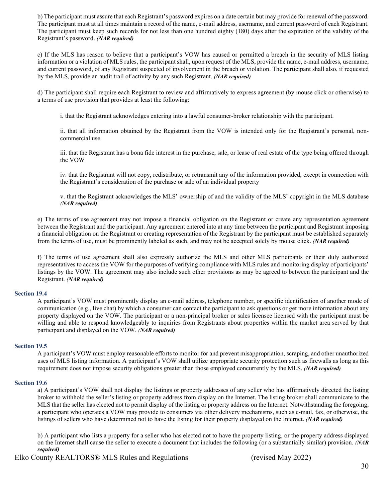b) The participant must assure that each Registrant's password expires on a date certain but may provide for renewal of the password. The participant must at all times maintain a record of the name, e-mail address, username, and current password of each Registrant. The participant must keep such records for not less than one hundred eighty (180) days after the expiration of the validity of the Registrant's password. *(NAR required)*

c) If the MLS has reason to believe that a participant's VOW has caused or permitted a breach in the security of MLS listing information or a violation of MLS rules, the participant shall, upon request of the MLS, provide the name, e-mail address, username, and current password, of any Registrant suspected of involvement in the breach or violation. The participant shall also, if requested by the MLS, provide an audit trail of activity by any such Registrant. *(NAR required)*

d) The participant shall require each Registrant to review and affirmatively to express agreement (by mouse click or otherwise) to a terms of use provision that provides at least the following:

i. that the Registrant acknowledges entering into a lawful consumer-broker relationship with the participant.

ii. that all information obtained by the Registrant from the VOW is intended only for the Registrant's personal, noncommercial use

iii. that the Registrant has a bona fide interest in the purchase, sale, or lease of real estate of the type being offered through the VOW

iv. that the Registrant will not copy, redistribute, or retransmit any of the information provided, except in connection with the Registrant's consideration of the purchase or sale of an individual property

v. that the Registrant acknowledges the MLS' ownership of and the validity of the MLS' copyright in the MLS database *(NAR required)*

e) The terms of use agreement may not impose a financial obligation on the Registrant or create any representation agreement between the Registrant and the participant. Any agreement entered into at any time between the participant and Registrant imposing a financial obligation on the Registrant or creating representation of the Registrant by the participant must be established separately from the terms of use, must be prominently labeled as such, and may not be accepted solely by mouse click. *(NAR required)*

f) The terms of use agreement shall also expressly authorize the MLS and other MLS participants or their duly authorized representatives to access the VOW for the purposes of verifying compliance with MLS rules and monitoring display of participants' listings by the VOW. The agreement may also include such other provisions as may be agreed to between the participant and the Registrant. *(NAR required)*

#### **Section 19.4**

A participant's VOW must prominently display an e-mail address, telephone number, or specific identification of another mode of communication (e.g., live chat) by which a consumer can contact the participant to ask questions or get more information about any property displayed on the VOW. The participant or a non-principal broker or sales licensee licensed with the participant must be willing and able to respond knowledgeably to inquiries from Registrants about properties within the market area served by that participant and displayed on the VOW. *(NAR required)*

#### **Section 19.5**

A participant's VOW must employ reasonable efforts to monitor for and prevent misappropriation, scraping, and other unauthorized uses of MLS listing information. A participant's VOW shall utilize appropriate security protection such as firewalls as long as this requirement does not impose security obligations greater than those employed concurrently by the MLS. *(NAR required)*

#### **Section 19.6**

a) A participant's VOW shall not display the listings or property addresses of any seller who has affirmatively directed the listing broker to withhold the seller's listing or property address from display on the Internet. The listing broker shall communicate to the MLS that the seller has elected not to permit display of the listing or property address on the Internet. Notwithstanding the foregoing, a participant who operates a VOW may provide to consumers via other delivery mechanisms, such as e-mail, fax, or otherwise, the listings of sellers who have determined not to have the listing for their property displayed on the Internet. *(NAR required)*

b) A participant who lists a property for a seller who has elected not to have the property listing, or the property address displayed on the Internet shall cause the seller to execute a document that includes the following (or a substantially similar) provision. *(NAR required)*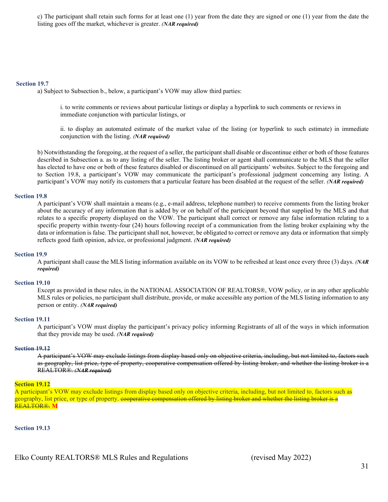c) The participant shall retain such forms for at least one (1) year from the date they are signed or one (1) year from the date the listing goes off the market, whichever is greater. *(NAR required)*

#### **Section 19.7**

a) Subject to Subsection b., below, a participant's VOW may allow third parties:

i. to write comments or reviews about particular listings or display a hyperlink to such comments or reviews in immediate conjunction with particular listings, or

ii. to display an automated estimate of the market value of the listing (or hyperlink to such estimate) in immediate conjunction with the listing. *(NAR required)*

b) Notwithstanding the foregoing, at the request of a seller, the participant shall disable or discontinue either or both of those features described in Subsection a. as to any listing of the seller. The listing broker or agent shall communicate to the MLS that the seller has elected to have one or both of these features disabled or discontinued on all participants' websites. Subject to the foregoing and to Section 19.8, a participant's VOW may communicate the participant's professional judgment concerning any listing. A participant's VOW may notify its customers that a particular feature has been disabled at the request of the seller. *(NAR required)*

#### **Section 19.8**

A participant's VOW shall maintain a means (e.g., e-mail address, telephone number) to receive comments from the listing broker about the accuracy of any information that is added by or on behalf of the participant beyond that supplied by the MLS and that relates to a specific property displayed on the VOW. The participant shall correct or remove any false information relating to a specific property within twenty-four (24) hours following receipt of a communication from the listing broker explaining why the data or information is false. The participant shall not, however, be obligated to correct or remove any data or information that simply reflects good faith opinion, advice, or professional judgment. *(NAR required)*

#### **Section 19.9**

A participant shall cause the MLS listing information available on its VOW to be refreshed at least once every three (3) days. *(NAR required)*

#### **Section 19.10**

Except as provided in these rules, in the NATIONAL ASSOCIATION OF REALTORS®, VOW policy, or in any other applicable MLS rules or policies, no participant shall distribute, provide, or make accessible any portion of the MLS listing information to any person or entity. *(NAR required)*

#### **Section 19.11**

A participant's VOW must display the participant's privacy policy informing Registrants of all of the ways in which information that they provide may be used. *(NAR required)*

#### **Section 19.12**

A participant's VOW may exclude listings from display based only on objective criteria, including, but not limited to, factors such as geography, list price, type of property, cooperative compensation offered by listing broker, and whether the listing broker is a REALTOR®. *(NAR required)*

#### **Section 19.12**

A participant's VOW may exclude listings from display based only on objective criteria, including, but not limited to, factors such as geography, list price, or type of property. cooperative compensation offered by listing broker and whether the listing broker is a REALTOR®. **M**

**Section 19.13**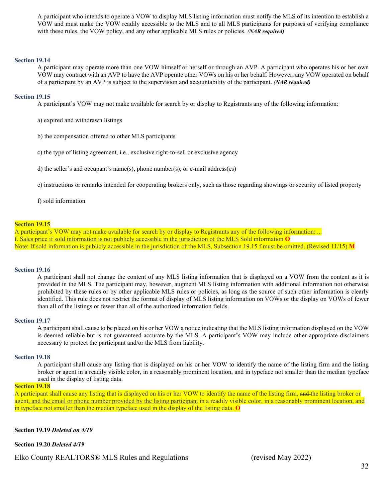A participant who intends to operate a VOW to display MLS listing information must notify the MLS of its intention to establish a VOW and must make the VOW readily accessible to the MLS and to all MLS participants for purposes of verifying compliance with these rules, the VOW policy, and any other applicable MLS rules or policies. *(NAR required)*

#### **Section 19.14**

A participant may operate more than one VOW himself or herself or through an AVP. A participant who operates his or her own VOW may contract with an AVP to have the AVP operate other VOWs on his or her behalf. However, any VOW operated on behalf of a participant by an AVP is subject to the supervision and accountability of the participant. *(NAR required)*

#### **Section 19.15**

A participant's VOW may not make available for search by or display to Registrants any of the following information:

- a) expired and withdrawn listings
- b) the compensation offered to other MLS participants
- c) the type of listing agreement, i.e., exclusive right-to-sell or exclusive agency
- d) the seller's and occupant's name(s), phone number(s), or e-mail address(es)
- e) instructions or remarks intended for cooperating brokers only, such as those regarding showings or security of listed property

#### f) sold information

#### **Section 19.15**

A participant's VOW may not make available for search by or display to Registrants any of the following information: ... f. Sales price if sold information is not publicly accessible in the jurisdiction of the MLS Sold information **O** Note: If sold information is publicly accessible in the jurisdiction of the MLS, Subsection 19.15 f must be omitted. (Revised 11/15) **M**

#### **Section 19.16**

A participant shall not change the content of any MLS listing information that is displayed on a VOW from the content as it is provided in the MLS. The participant may, however, augment MLS listing information with additional information not otherwise prohibited by these rules or by other applicable MLS rules or policies, as long as the source of such other information is clearly identified. This rule does not restrict the format of display of MLS listing information on VOWs or the display on VOWs of fewer than all of the listings or fewer than all of the authorized information fields.

#### **Section 19.17**

A participant shall cause to be placed on his or her VOW a notice indicating that the MLS listing information displayed on the VOW is deemed reliable but is not guaranteed accurate by the MLS. A participant's VOW may include other appropriate disclaimers necessary to protect the participant and/or the MLS from liability.

#### **Section 19.18**

A participant shall cause any listing that is displayed on his or her VOW to identify the name of the listing firm and the listing broker or agent in a readily visible color, in a reasonably prominent location, and in typeface not smaller than the median typeface used in the display of listing data.

#### **Section 19.18**

A participant shall cause any listing that is displayed on his or her VOW to identify the name of the listing firm, and the listing broker or agent, and the email or phone number provided by the listing participant in a readily visible color, in a reasonably prominent location, and in typeface not smaller than the median typeface used in the display of the listing data. **O**

#### **Section 19.19** *Deleted on 4/19*

**Section 19.20** *Deleted 4/19*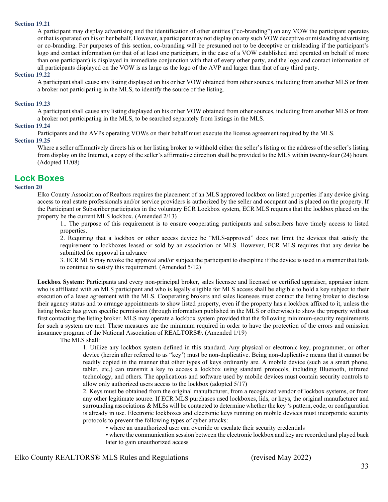#### **Section 19.21**

A participant may display advertising and the identification of other entities ("co-branding") on any VOW the participant operates or that is operated on his or her behalf. However, a participant may not display on any such VOW deceptive or misleading advertising or co-branding. For purposes of this section, co-branding will be presumed not to be deceptive or misleading if the participant's logo and contact information (or that of at least one participant, in the case of a VOW established and operated on behalf of more than one participant) is displayed in immediate conjunction with that of every other party, and the logo and contact information of all participants displayed on the VOW is as large as the logo of the AVP and larger than that of any third party.

#### **Section 19.22**

A participant shall cause any listing displayed on his or her VOW obtained from other sources, including from another MLS or from a broker not participating in the MLS, to identify the source of the listing.

#### **Section 19.23**

A participant shall cause any listing displayed on his or her VOW obtained from other sources, including from another MLS or from a broker not participating in the MLS, to be searched separately from listings in the MLS.

#### **Section 19.24**

Participants and the AVPs operating VOWs on their behalf must execute the license agreement required by the MLS.

#### **Section 19.25**

Where a seller affirmatively directs his or her listing broker to withhold either the seller's listing or the address of the seller's listing from display on the Internet, a copy of the seller's affirmative direction shall be provided to the MLS within twenty-four (24) hours. (Adopted 11/08)

#### **Lock Boxes**

#### **Section 20**

Elko County Association of Realtors requires the placement of an MLS approved lockbox on listed properties if any device giving access to real estate professionals and/or service providers is authorized by the seller and occupant and is placed on the property. If the Participant or Subscriber participates in the voluntary ECR Lockbox system, ECR MLS requires that the lockbox placed on the property be the current MLS lockbox. (Amended 2/13)

1.. The purpose of this requirement is to ensure cooperating participants and subscribers have timely access to listed properties.

2. Requiring that a lockbox or other access device be "MLS-approved" does not limit the devices that satisfy the requirement to lockboxes leased or sold by an association or MLS. However, ECR MLS requires that any devise be submitted for approval in advance

3. ECR MLS may revoke the approval and/or subject the participant to discipline if the device is used in a manner that fails to continue to satisfy this requirement. (Amended 5/12)

**Lockbox System:** Participants and every non-principal broker, sales licensee and licensed or certified appraiser, appraiser intern who is affiliated with an MLS participant and who is legally eligible for MLS access shall be eligible to hold a key subject to their execution of a lease agreement with the MLS. Cooperating brokers and sales licensees must contact the listing broker to disclose their agency status and to arrange appointments to show listed property, even if the property has a lockbox affixed to it, unless the listing broker has given specific permission (through information published in the MLS or otherwise) to show the property without first contacting the listing broker. MLS may operate a lockbox system provided that the following minimum-security requirements for such a system are met. These measures are the minimum required in order to have the protection of the errors and omission insurance program of the National Association of REALTORS®. (Amended 1/19)

The MLS shall:

1. Utilize any lockbox system defined in this standard. Any physical or electronic key, programmer, or other device (herein after referred to as "key') must be non-duplicative. Being non-duplicative means that it cannot be readily copied in the manner that other types of keys ordinarily are. A mobile device (such as a smart phone, tablet, etc.) can transmit a key to access a lockbox using standard protocols, including Bluetooth, infrared technology, and others. The applications and software used by mobile devices must contain security controls to allow only authorized users access to the lockbox (adopted 5/17)

2. Keys must be obtained from the original manufacturer, from a recognized vendor of lockbox systems, or from any other legitimate source. If ECR MLS purchases used lockboxes, lids, or keys, the original manufacturer and surrounding associations & MLSs will be contacted to determine whether the key 's pattern, code, or configuration is already in use. Electronic lockboxes and electronic keys running on mobile devices must incorporate security protocols to prevent the following types of cyber-attacks:

• where an unauthorized user can override or escalate their security credentials

• where the communication session between the electronic lockbox and key are recorded and played back later to gain unauthorized access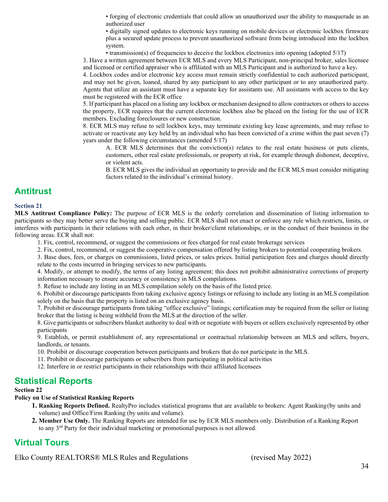• forging of electronic credentials that could allow an unauthorized user the ability to masquerade as an authorized user

• digitally signed updates to electronic keys running on mobile devices or electronic lockbox firmware plus a secured update process to prevent unauthorized software from being introduced into the lockbox system.

• transmission(s) of frequencies to deceive the lockbox electronics into opening (adopted 5/17)

3. Have a written agreement between ECR MLS and every MLS Participant, non-principal broker, sales licensee and licensed or certified appraiser who is affiliated with an MLS Participant and is authorized to have a key.

4. Lockbox codes and/or electronic key access must remain strictly confidential to each authorized participant, and may not be given, loaned, shared by any participant to any other participant or to any unauthorized party. Agents that utilize an assistant must have a separate key for assistants use. All assistants with access to the key must be registered with the ECR office

5. If participant has placed on a listing any lockbox or mechanism designed to allow contractors or others to access the property, ECR requires that the current electronic lockbox also be placed on the listing for the use of ECR members. Excluding foreclosures or new construction.

8. ECR MLS may refuse to sell lockbox keys, may terminate existing key lease agreements, and may refuse to activate or reactivate any key held by an individual who has been convicted of a crime within the past seven (7) years under the following circumstances (amended 5/17)

A. ECR MLS determines that the conviction(s) relates to the real estate business or puts clients, customers, other real estate professionals, or property at risk, for example through dishonest, deceptive, or violent acts.

B. ECR MLS gives the individual an opportunity to provide and the ECR MLS must consider mitigating factors related to the individual's criminal history.

## **Antitrust**

#### **Section 21**

**MLS Antitrust Compliance Policy:** The purpose of ECR MLS is the orderly correlation and dissemination of listing information to participants so they may better serve the buying and selling public. ECR MLS shall not enact or enforce any rule which restricts, limits, or interferes with participants in their relations with each other, in their broker/client relationships, or in the conduct of their business in the following areas. ECR shall not:

1. Fix, control, recommend, or suggest the commissions or fees charged for real estate brokerage services

2. Fix, control, recommend, or suggest the cooperative compensation offered by listing brokers to potential cooperating brokers.

3. Base dues, fees, or charges on commissions, listed prices, or sales prices. Initial participation fees and charges should directly relate to the costs incurred in bringing services to new participants.

4. Modify, or attempt to modify, the terms of any listing agreement; this does not prohibit administrative corrections of property information necessary to ensure accuracy or consistency in MLS compilations.

5. Refuse to include any listing in an MLS compilation solely on the basis of the listed price.

6. Prohibit or discourage participants from taking exclusive agency listings or refusing to include any listing in an MLS compilation solely on the basis that the property is listed on an exclusive agency basis.

7. Prohibit or discourage participants from taking "office exclusive" listings; certification may be required from the seller or listing broker that the listing is being withheld from the MLS at the direction of the seller.

8. Give participants or subscribers blanket authority to deal with or negotiate with buyers or sellers exclusively represented by other participants

9. Establish, or permit establishment of, any representational or contractual relationship between an MLS and sellers, buyers, landlords, or tenants.

10. Prohibit or discourage cooperation between participants and brokers that do not participate in the MLS.

- 11. Prohibit or discourage participants or subscribers from participating in political activities
- 12. Interfere in or restrict participants in their relationships with their affiliated licensees

## **Statistical Reports**

#### **Section 22**

#### **Policy on Use of Statistical Ranking Reports**

- **1. Ranking Reports Defined.** RealtyPro includes statistical programs that are available to brokers: Agent Ranking(by units and volume) and Office/Firm Ranking (by units and volume).
- **2. Member Use Only.** The Ranking Reports are intended for use by ECR MLS members only. Distribution of a Ranking Report to any 3<sup>rd</sup> Party for their individual marketing or promotional purposes is not allowed.

## **Virtual Tours**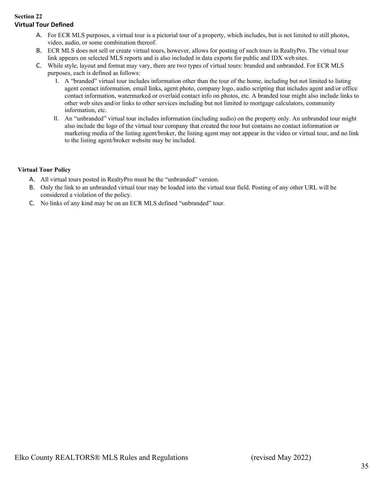#### **Section 22 Virtual Tour Defined**

- A. For ECR MLS purposes, a virtual tour is a pictorial tour of a property, which includes, but is not limited to still photos, video, audio, or some combination thereof.
- B. ECR MLS does not sell or create virtual tours, however, allows for posting of such tours in RealtyPro. The virtual tour link appears on selected MLS reports and is also included in data exports for public and IDX web sites.
- C. While style, layout and format may vary, there are two types of virtual tours: branded and unbranded. For ECR MLS purposes, each is defined as follows:
	- I. A "branded" virtual tour includes information other than the tour of the home, including but not limited to listing agent contact information, email links, agent photo, company logo, audio scripting that includes agent and/or office contact information, watermarked or overlaid contact info on photos, etc. A branded tour might also include links to other web sites and/or links to other services including but not limited to mortgage calculators, community information, etc.
	- II. An "unbranded" virtual tour includes information (including audio) on the property only. An unbranded tour might also include the logo of the virtual tour company that created the tour but contains no contact information or marketing media of the listing agent/broker, the listing agent may not appear in the video or virtual tour, and no link to the listing agent/broker website may be included.

#### **Virtual Tour Policy**

- A. All virtual tours posted in RealtyPro must be the "unbranded" version.
- B. Only the link to an unbranded virtual tour may be loaded into the virtual tour field. Posting of any other URL will be considered a violation of the policy.
- C. No links of any kind may be on an ECR MLS defined "unbranded" tour.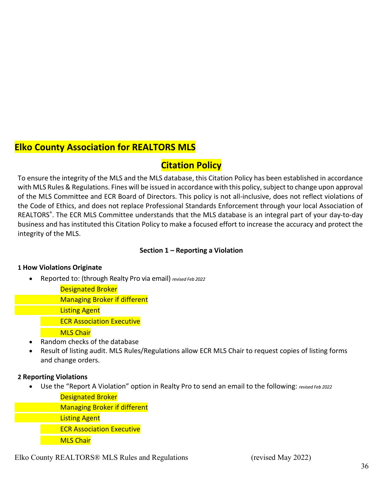## **Elko County Association for REALTORS MLS**

## **Citation Policy**

To ensure the integrity of the MLS and the MLS database, this Citation Policy has been established in accordance with MLS Rules & Regulations. Fines will be issued in accordance with this policy, subject to change upon approval of the MLS Committee and ECR Board of Directors. This policy is not all-inclusive, does not reflect violations of the Code of Ethics, and does not replace Professional Standards Enforcement through your local Association of REALTORS®. The ECR MLS Committee understands that the MLS database is an integral part of your day-to-day business and has instituted this Citation Policy to make a focused effort to increase the accuracy and protect the integrity of the MLS.

## **Section 1 – Reporting a Violation**

## **1 How Violations Originate**

• Reported to: (through Realty Pro via email) *revised Feb 2022*

Designated Broker

Managing Broker if different

Listing Agent

ECR Association Executive

**MLS Chair** 

- Random checks of the database
- Result of listing audit. MLS Rules/Regulations allow ECR MLS Chair to request copies of listing forms and change orders.

## **2 Reporting Violations**

• Use the "Report A Violation" option in Realty Pro to send an email to the following: *revised Feb 2022*

Designated Broker

Managing Broker if different

Listing Agent

ECR Association Executive

**MLS Chair**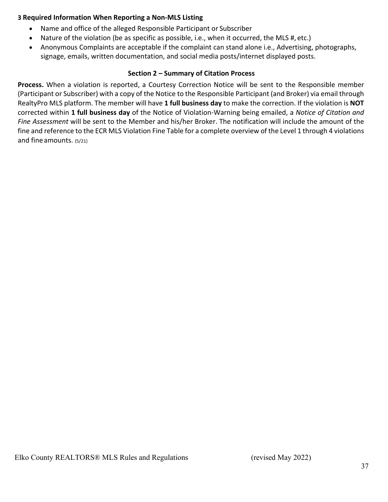## **3 Required Information When Reporting a Non-MLS Listing**

- Name and office of the alleged Responsible Participant or Subscriber
- Nature of the violation (be as specific as possible, i.e., when it occurred, the MLS #, etc.)
- Anonymous Complaints are acceptable if the complaint can stand alone i.e., Advertising, photographs, signage, emails, written documentation, and social media posts/internet displayed posts.

## **Section 2 – Summary of Citation Process**

**Process.** When a violation is reported, a Courtesy Correction Notice will be sent to the Responsible member (Participant or Subscriber) with a copy of the Notice to the Responsible Participant (and Broker) via email through RealtyPro MLS platform. The member will have **1 full business day** to make the correction. If the violation is **NOT**  corrected within **1 full business day** of the Notice of Violation-Warning being emailed, a *Notice of Citation and Fine Assessment* will be sent to the Member and his/her Broker. The notification will include the amount of the fine and reference to the ECR MLS Violation Fine Table for a complete overview of the Level 1 through 4 violations and fine amounts. (5/21)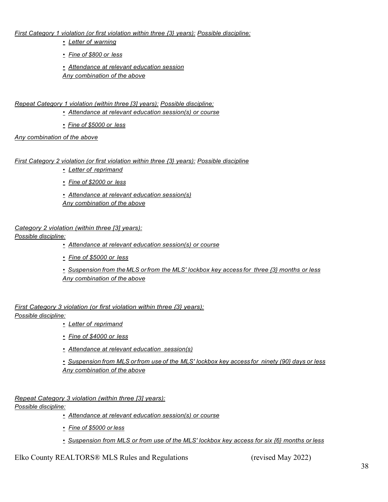*First Category 1 violation (or first violation within three {3} years): Possible discipline:*

- *Letter of warning*
- *Fine of \$800 or less*

• *Attendance at relevant education session Any combination of the above*

*Repeat Category 1 violation (within three [3] years): Possible discipline:*

- *Attendance at relevant education session(s) or course*
- *Fine of \$5000 or less*

*Any combination of the above*

#### *First Category 2 violation (or first violation within three {3} years): Possible discipline*

- *Letter of reprimand*
- *Fine of \$2000 or less*

• *Attendance at relevant education session(s) Any combination of the above*

#### *Category 2 violation (within three [3] years):*

*Possible discipline:*

- *Attendance at relevant education session(s) or course*
- *Fine of \$5000 or less*
- *Suspension from the MLS orfrom the MLS' lockbox key access for three {3} months or less Any combination of the above*

*First Category 3 violation (or first violation within three {3} years): Possible discipline:*

- *Letter of reprimand*
- *Fine of \$4000 or less*
- *Attendance at relevant education session(s)*

• *Suspension from MLS orfrom use of the MLS' lockbox key access for ninety (90} days or less Any combination of the above*

*Repeat Category 3 violation (within three [3] years):*

#### *Possible discipline:*

- *Attendance at relevant education session(s) or course*
- *Fine of \$5000 or less*
- *Suspension from MLS or from use of the MLS' lockbox key access for six {6} months or less*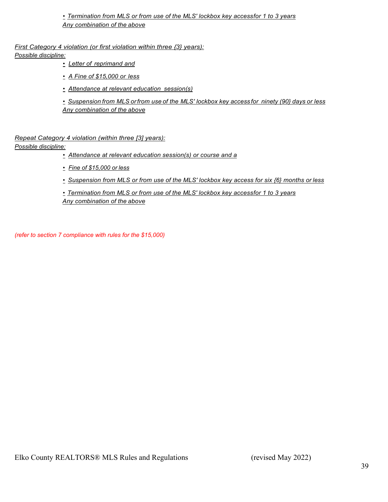• *Termination from MLS or from use of the MLS' lockbox key accessfor 1 to 3 years Any combination of the above*

*First Category 4 violation (or first violation within three {3} years):*

*Possible discipline:*

- *Letter of reprimand and*
- *A Fine of \$15,000 or less*
- *Attendance at relevant education session(s)*

• *Suspension from MLS orfrom use of the MLS' lockbox key access for ninety (90} days or less Any combination of the above*

*Repeat Category 4 violation (within three [3] years):*

#### *Possible discipline:*

- *Attendance at relevant education session(s) or course and a*
- *Fine of \$15,000 or less*
- *Suspension from MLS or from use of the MLS' lockbox key access for six {6} months or less*

• *Termination from MLS or from use of the MLS' lockbox key accessfor 1 to 3 years Any combination of the above*

*(refer to section 7 compliance with rules for the \$15,000)*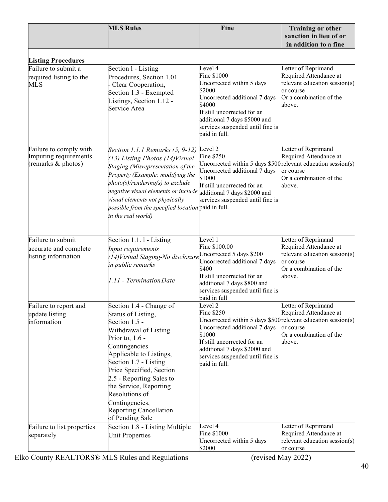|                                                                       | <b>MLS Rules</b>                                                                                                                                                                                                                                                                                                                                            | Fine                                                                                                                                                                                                                                                   | <b>Training or other</b>                                                                                                         |
|-----------------------------------------------------------------------|-------------------------------------------------------------------------------------------------------------------------------------------------------------------------------------------------------------------------------------------------------------------------------------------------------------------------------------------------------------|--------------------------------------------------------------------------------------------------------------------------------------------------------------------------------------------------------------------------------------------------------|----------------------------------------------------------------------------------------------------------------------------------|
|                                                                       |                                                                                                                                                                                                                                                                                                                                                             |                                                                                                                                                                                                                                                        | sanction in lieu of or<br>in addition to a fine                                                                                  |
|                                                                       |                                                                                                                                                                                                                                                                                                                                                             |                                                                                                                                                                                                                                                        |                                                                                                                                  |
| <b>Listing Procedures</b>                                             |                                                                                                                                                                                                                                                                                                                                                             |                                                                                                                                                                                                                                                        |                                                                                                                                  |
| Failure to submit a<br>required listing to the<br><b>MLS</b>          | Section 1 - Listing<br>Procedures, Section 1.01<br>Clear Cooperation,<br>Section 1.3 - Exempted<br>Listings, Section 1.12 -<br>Service Area                                                                                                                                                                                                                 | Level 4<br>Fine \$1000<br>Uncorrected within 5 days<br>\$2000<br>Uncorrected additional 7 days<br>\$4000<br>If still uncorrected for an<br>additional 7 days \$5000 and<br>services suspended until fine is<br>paid in full.                           | Letter of Reprimand<br>Required Attendance at<br>relevant education session(s)<br>or course<br>Or a combination of the<br>above. |
| Failure to comply with<br>Imputing requirements<br>(remarks & photos) | Section 1.1.1 Remarks (5, 9-12)<br>(13) Listing Photos (14) Virtual<br>Staging (Misrepresentation of the<br>Property (Example: modifying the<br>$photo(s)/rendering(s)$ to exclude<br>negative visual elements or include<br>visual elements not physically<br>possible from the specified location paid in full.<br>in the real world)                     | Level <sub>2</sub><br>Fine \$250<br>Uncorrected within 5 days $$500$ relevant education session(s)<br>Uncorrected additional 7 days<br>\$1000<br>If still uncorrected for an<br>additional 7 days \$2000 and<br>services suspended until fine is       | Letter of Reprimand<br>Required Attendance at<br>or course<br>Or a combination of the<br>above.                                  |
| Failure to submit                                                     | Section 1.1.1 - Listing                                                                                                                                                                                                                                                                                                                                     | Level 1                                                                                                                                                                                                                                                | Letter of Reprimand                                                                                                              |
| accurate and complete<br>listing information                          | Input requirements<br>(14) Virtual Staging-No disclosure<br>in public remarks<br>1.11 - Termination Date                                                                                                                                                                                                                                                    | Fine \$100.00<br>Uncorrected 5 days \$200<br>Uncorrected additional 7 days<br>\$400<br>If still uncorrected for an<br>additional 7 days \$800 and<br>services suspended until fine is<br>paid in full                                                  | Required Attendance at<br>relevant education session(s)<br>or course<br>Or a combination of the<br>above.                        |
| Failure to report and<br>update listing<br>information                | Section 1.4 - Change of<br>Status of Listing,<br>Section 1.5 -<br>Withdrawal of Listing<br>Prior to, $1.6$ -<br>Contingencies<br>Applicable to Listings,<br>Section 1.7 - Listing<br>Price Specified, Section<br>2.5 - Reporting Sales to<br>the Service, Reporting<br>Resolutions of<br>Contingencies,<br><b>Reporting Cancellation</b><br>of Pending Sale | Level 2<br>Fine \$250<br>Uncorrected within 5 days $$500$ relevant education session(s)<br>Uncorrected additional 7 days<br>\$1000<br>If still uncorrected for an<br>additional 7 days \$2000 and<br>services suspended until fine is<br>paid in full. | Letter of Reprimand<br>Required Attendance at<br>or course<br>Or a combination of the<br>above.                                  |
| Failure to list properties<br>separately                              | Section 1.8 - Listing Multiple<br><b>Unit Properties</b>                                                                                                                                                                                                                                                                                                    | Level 4<br>Fine \$1000<br>Uncorrected within 5 days<br>\$2000                                                                                                                                                                                          | Letter of Reprimand<br>Required Attendance at<br>relevant education session(s)<br>or course                                      |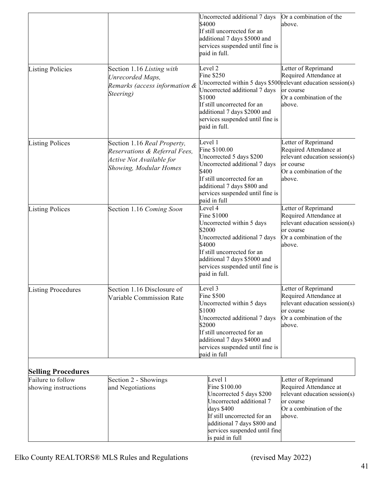|                                           |                                                                                                                           | Uncorrected additional 7 days<br>\$4000<br>If still uncorrected for an<br>additional 7 days \$5000 and<br>services suspended until fine is<br>paid in full.                                                                                                             | Or a combination of the<br>above.                                                                                                |
|-------------------------------------------|---------------------------------------------------------------------------------------------------------------------------|-------------------------------------------------------------------------------------------------------------------------------------------------------------------------------------------------------------------------------------------------------------------------|----------------------------------------------------------------------------------------------------------------------------------|
| <b>Listing Policies</b>                   | Section 1.16 Listing with<br>Unrecorded Maps,<br>Remarks (access information &<br>Steering)                               | Level <sub>2</sub><br><b>Fine \$250</b><br>Uncorrected within 5 days \$500 relevant education session(s)<br>Uncorrected additional 7 days<br>\$1000<br>If still uncorrected for an<br>additional 7 days \$2000 and<br>services suspended until fine is<br>paid in full. | Letter of Reprimand<br>Required Attendance at<br>or course<br>Or a combination of the<br>above.                                  |
| <b>Listing Polices</b>                    | Section 1.16 Real Property,<br>Reservations & Referral Fees,<br>Active Not Available for<br><b>Showing, Modular Homes</b> | Level 1<br>Fine \$100.00<br>Uncorrected 5 days \$200<br>Uncorrected additional 7 days<br>\$400<br>If still uncorrected for an<br>additional 7 days \$800 and<br>services suspended until fine is<br>paid in full                                                        | Letter of Reprimand<br>Required Attendance at<br>relevant education session(s)<br>or course<br>Or a combination of the<br>above. |
| <b>Listing Polices</b>                    | Section 1.16 Coming Soon                                                                                                  | Level 4<br>Fine \$1000<br>Uncorrected within 5 days<br>\$2000<br>Uncorrected additional 7 days<br>\$4000<br>If still uncorrected for an<br>additional 7 days \$5000 and<br>services suspended until fine is<br>paid in full.                                            | Letter of Reprimand<br>Required Attendance at<br>relevant education session(s)<br>or course<br>Or a combination of the<br>above. |
| <b>Listing Procedures</b>                 | Section 1.16 Disclosure of<br>Variable Commission Rate                                                                    | Level 3<br>Fine \$500<br>Uncorrected within 5 days<br>\$1000<br>Uncorrected additional 7 days<br>\$2000<br>If still uncorrected for an<br>additional 7 days \$4000 and<br>services suspended until fine is<br>paid in full                                              | Letter of Reprimand<br>Required Attendance at<br>relevant education session(s)<br>or course<br>Or a combination of the<br>above. |
| <b>Selling Procedures</b>                 |                                                                                                                           |                                                                                                                                                                                                                                                                         |                                                                                                                                  |
| Failure to follow<br>showing instructions | Section 2 - Showings<br>and Negotiations                                                                                  | Level 1<br>Fine \$100.00<br>Uncorrected 5 days \$200<br>Uncorrected additional 7<br>days \$400<br>If still uncorrected for an<br>additional 7 days \$800 and<br>services suspended until fine<br>is paid in full                                                        | Letter of Reprimand<br>Required Attendance at<br>relevant education session(s)<br>or course<br>Or a combination of the<br>above. |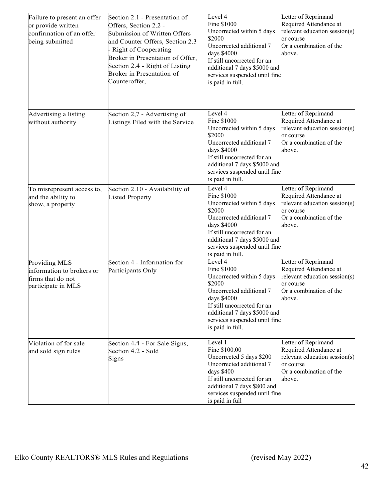| Failure to present an offer<br>or provide written<br>confirmation of an offer<br>being submitted | Section 2.1 - Presentation of<br>Offers, Section 2.2 -<br>Submission of Written Offers<br>and Counter Offers, Section 2.3<br>Right of Cooperating<br>Broker in Presentation of Offer,<br>Section 2.4 - Right of Listing<br>Broker in Presentation of<br>Counteroffer, | Level 4<br>Fine \$1000<br>Uncorrected within 5 days<br>\$2000<br>Uncorrected additional 7<br>days \$4000<br>If still uncorrected for an<br>additional 7 days \$5000 and<br>services suspended until fine<br>is paid in full. | Letter of Reprimand<br>Required Attendance at<br>relevant education session(s)<br>or course<br>Or a combination of the<br>above. |
|--------------------------------------------------------------------------------------------------|-----------------------------------------------------------------------------------------------------------------------------------------------------------------------------------------------------------------------------------------------------------------------|------------------------------------------------------------------------------------------------------------------------------------------------------------------------------------------------------------------------------|----------------------------------------------------------------------------------------------------------------------------------|
| Advertising a listing<br>without authority                                                       | Section 2,7 - Advertising of<br>Listings Filed with the Service                                                                                                                                                                                                       | Level 4<br>Fine \$1000<br>Uncorrected within 5 days<br>\$2000<br>Uncorrected additional 7<br>days \$4000<br>If still uncorrected for an<br>additional 7 days \$5000 and<br>services suspended until fine<br>is paid in full. | Letter of Reprimand<br>Required Attendance at<br>relevant education session(s)<br>or course<br>Or a combination of the<br>above. |
| To misrepresent access to,<br>and the ability to<br>show, a property                             | Section 2.10 - Availability of<br><b>Listed Property</b>                                                                                                                                                                                                              | Level 4<br>Fine \$1000<br>Uncorrected within 5 days<br>\$2000<br>Uncorrected additional 7<br>days \$4000<br>If still uncorrected for an<br>additional 7 days \$5000 and<br>services suspended until fine<br>is paid in full. | Letter of Reprimand<br>Required Attendance at<br>relevant education session(s)<br>or course<br>Or a combination of the<br>above. |
| Providing MLS<br>information to brokers or<br>firms that do not<br>participate in MLS            | Section 4 - Information for<br>Participants Only                                                                                                                                                                                                                      | Level 4<br>Fine \$1000<br>Uncorrected within 5 days<br>\$2000<br>Uncorrected additional 7<br>days \$4000<br>If still uncorrected for an<br>additional 7 days \$5000 and<br>services suspended until fine<br>is paid in full. | Letter of Reprimand<br>Required Attendance at<br>relevant education session(s)<br>or course<br>Or a combination of the<br>above. |
| Violation of for sale<br>and sold sign rules                                                     | Section 4.1 - For Sale Signs,<br>Section 4.2 - Sold<br>Signs                                                                                                                                                                                                          | Level 1<br>Fine \$100.00<br>Uncorrected 5 days \$200<br>Uncorrected additional 7<br>days \$400<br>If still uncorrected for an<br>additional 7 days \$800 and<br>services suspended until fine<br>is paid in full             | Letter of Reprimand<br>Required Attendance at<br>relevant education session(s)<br>or course<br>Or a combination of the<br>above. |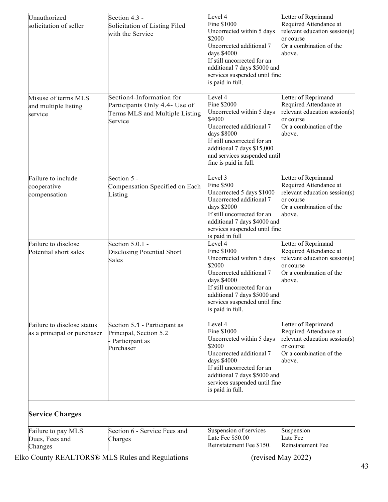| Unauthorized<br>solicitation of seller                    | Section 4.3 -<br>Solicitation of Listing Filed<br>with the Service                                     | Level 4<br>Fine \$1000<br>Uncorrected within 5 days                                                                                                                                                                            | Letter of Reprimand<br>Required Attendance at<br>relevant education session(s)                                                   |
|-----------------------------------------------------------|--------------------------------------------------------------------------------------------------------|--------------------------------------------------------------------------------------------------------------------------------------------------------------------------------------------------------------------------------|----------------------------------------------------------------------------------------------------------------------------------|
|                                                           |                                                                                                        | \$2000<br>Uncorrected additional 7<br>days \$4000<br>If still uncorrected for an<br>additional 7 days \$5000 and<br>services suspended until fine<br>is paid in full.                                                          | or course<br>Or a combination of the<br>above.                                                                                   |
| Misuse of terms MLS<br>and multiple listing<br>service    | Section4-Information for<br>Participants Only 4.4- Use of<br>Terms MLS and Multiple Listing<br>Service | Level 4<br>Fine \$2000<br>Uncorrected within 5 days<br>\$4000<br>Uncorrected additional 7<br>days \$8000<br>If still uncorrected for an<br>additional 7 days \$15,000<br>and services suspended until<br>fine is paid in full. | Letter of Reprimand<br>Required Attendance at<br>relevant education session(s)<br>or course<br>Or a combination of the<br>above. |
| Failure to include<br>cooperative<br>compensation         | Section 5 -<br>Compensation Specified on Each<br>Listing                                               | Level 3<br><b>Fine \$500</b><br>Uncorrected 5 days \$1000<br>Uncorrected additional 7<br>days \$2000<br>If still uncorrected for an<br>additional 7 days \$4000 and<br>services suspended until fine<br>is paid in full        | Letter of Reprimand<br>Required Attendance at<br>relevant education session(s)<br>or course<br>Or a combination of the<br>above. |
| Failure to disclose<br>Potential short sales              | Section 5.0.1 -<br>Disclosing Potential Short<br>Sales                                                 | Level 4<br>Fine \$1000<br>Uncorrected within 5 days<br>\$2000<br>Uncorrected additional 7<br>days \$4000<br>If still uncorrected for an<br>additional 7 days \$5000 and<br>services suspended until fine<br>is paid in full.   | Letter of Reprimand<br>Required Attendance at<br>relevant education session(s)<br>or course<br>Or a combination of the<br>above. |
| Failure to disclose status<br>as a principal or purchaser | Section 5.1 - Participant as<br>Principal, Section 5.2<br>- Participant as<br>Purchaser                | Level 4<br>Fine \$1000<br>Uncorrected within 5 days<br>\$2000<br>Uncorrected additional 7<br>days \$4000<br>If still uncorrected for an<br>additional 7 days \$5000 and<br>services suspended until fine<br>is paid in full.   | Letter of Reprimand<br>Required Attendance at<br>relevant education session(s)<br>or course<br>Or a combination of the<br>above. |
| <b>Service Charges</b>                                    |                                                                                                        |                                                                                                                                                                                                                                |                                                                                                                                  |
| Failure to pay MLS<br>Dues, Fees and<br>Changes           | Section 6 - Service Fees and<br>Charges                                                                | Suspension of services<br>Late Fee \$50.00<br>Reinstatement Fee \$150.                                                                                                                                                         | Suspension<br>Late Fee<br>Reinstatement Fee                                                                                      |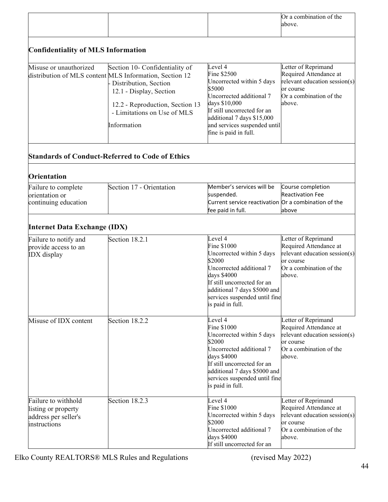|                                                                                    |                                                                                                                                                                                                                                |                                                                                                                                                                                                                                  | Or a combination of the<br>above.                                                                                                |
|------------------------------------------------------------------------------------|--------------------------------------------------------------------------------------------------------------------------------------------------------------------------------------------------------------------------------|----------------------------------------------------------------------------------------------------------------------------------------------------------------------------------------------------------------------------------|----------------------------------------------------------------------------------------------------------------------------------|
| <b>Confidentiality of MLS Information</b>                                          |                                                                                                                                                                                                                                |                                                                                                                                                                                                                                  |                                                                                                                                  |
| Misuse or unauthorized                                                             | Section 10- Confidentiality of<br>distribution of MLS content MLS Information, Section 12<br>Distribution, Section<br>12.1 - Display, Section<br>12.2 - Reproduction, Section 13<br>- Limitations on Use of MLS<br>Information | Level 4<br>Fine \$2500<br>Uncorrected within 5 days<br>\$5000<br>Uncorrected additional 7<br>days \$10,000<br>If still uncorrected for an<br>additional 7 days \$15,000<br>and services suspended until<br>fine is paid in full. | Letter of Reprimand<br>Required Attendance at<br>relevant education session(s)<br>or course<br>Or a combination of the<br>above. |
|                                                                                    | <b>Standards of Conduct-Referred to Code of Ethics</b>                                                                                                                                                                         |                                                                                                                                                                                                                                  |                                                                                                                                  |
| <b>Orientation</b>                                                                 |                                                                                                                                                                                                                                |                                                                                                                                                                                                                                  |                                                                                                                                  |
| Failure to complete<br>orientation or<br>continuing education                      | Section 17 - Orientation                                                                                                                                                                                                       | Member's services will be<br>suspended.<br>Current service reactivation Or a combination of the<br>fee paid in full.                                                                                                             | Course completion<br><b>Reactivation Fee</b><br>above                                                                            |
| <b>Internet Data Exchange (IDX)</b>                                                |                                                                                                                                                                                                                                |                                                                                                                                                                                                                                  |                                                                                                                                  |
| Failure to notify and<br>provide access to an<br><b>IDX</b> display                | Section 18.2.1                                                                                                                                                                                                                 | Level 4<br>Fine \$1000<br>Uncorrected within 5 days<br>\$2000<br>Uncorrected additional 7<br>days \$4000<br>If still uncorrected for an<br>additional 7 days \$5000 and<br>services suspended until fine<br>is paid in full.     | Letter of Reprimand<br>Required Attendance at<br>relevant education session(s)<br>or course<br>Or a combination of the<br>above. |
| Misuse of IDX content                                                              | Section 18.2.2                                                                                                                                                                                                                 | Level 4<br>Fine \$1000<br>Uncorrected within 5 days<br>\$2000<br>Uncorrected additional 7<br>days \$4000<br>If still uncorrected for an<br>additional 7 days \$5000 and<br>services suspended until fine<br>is paid in full.     | Letter of Reprimand<br>Required Attendance at<br>relevant education session(s)<br>or course<br>Or a combination of the<br>above. |
| Failure to withhold<br>listing or property<br>address per seller's<br>instructions | Section 18.2.3                                                                                                                                                                                                                 | Level 4<br>Fine \$1000<br>Uncorrected within 5 days<br>\$2000<br>Uncorrected additional 7<br>days \$4000<br>If still uncorrected for an                                                                                          | Letter of Reprimand<br>Required Attendance at<br>relevant education session(s)<br>or course<br>Or a combination of the<br>above. |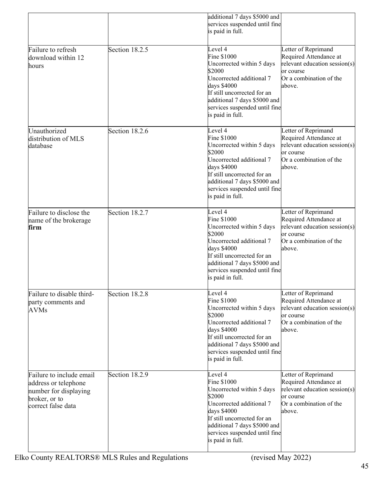|                                                                                                                  |                | additional 7 days \$5000 and<br>services suspended until fine<br>is paid in full.                                                                                                                                              |                                                                                                                                  |
|------------------------------------------------------------------------------------------------------------------|----------------|--------------------------------------------------------------------------------------------------------------------------------------------------------------------------------------------------------------------------------|----------------------------------------------------------------------------------------------------------------------------------|
| Failure to refresh<br>download within 12<br>hours                                                                | Section 18.2.5 | Level 4<br>Fine \$1000<br>Uncorrected within 5 days<br>\$2000<br>Uncorrected additional 7<br>days \$4000<br>If still uncorrected for an<br>additional 7 days \$5000 and<br>services suspended until fine<br>is paid in full.   | Letter of Reprimand<br>Required Attendance at<br>relevant education session(s)<br>or course<br>Or a combination of the<br>above. |
| Unauthorized<br>distribution of MLS<br>database                                                                  | Section 18.2.6 | Level 4<br>Fine \$1000<br>Uncorrected within 5 days<br>\$2000<br>Uncorrected additional 7<br>days \$4000<br>If still uncorrected for an<br>additional 7 days \$5000 and<br>services suspended until fine<br>is paid in full.   | Letter of Reprimand<br>Required Attendance at<br>relevant education session(s)<br>or course<br>Or a combination of the<br>above. |
| Failure to disclose the<br>name of the brokerage<br>firm                                                         | Section 18.2.7 | Level $4$<br>Fine \$1000<br>Uncorrected within 5 days<br>\$2000<br>Uncorrected additional 7<br>days \$4000<br>If still uncorrected for an<br>additional 7 days \$5000 and<br>services suspended until fine<br>is paid in full. | Letter of Reprimand<br>Required Attendance at<br>relevant education session(s)<br>or course<br>Or a combination of the<br>above. |
| Failure to disable third-<br>party comments and<br><b>AVMs</b>                                                   | Section 18.2.8 | Level 4<br>Fine \$1000<br>Uncorrected within 5 days<br>\$2000<br>Uncorrected additional 7<br>days \$4000<br>If still uncorrected for an<br>additional 7 days \$5000 and<br>services suspended until fine<br>is paid in full.   | Letter of Reprimand<br>Required Attendance at<br>relevant education session(s)<br>or course<br>Or a combination of the<br>above. |
| Failure to include email<br>address or telephone<br>number for displaying<br>broker, or to<br>correct false data | Section 18.2.9 | Level 4<br>Fine \$1000<br>Uncorrected within 5 days<br>\$2000<br>Uncorrected additional 7<br>days \$4000<br>If still uncorrected for an<br>additional 7 days \$5000 and<br>services suspended until fine<br>is paid in full.   | Letter of Reprimand<br>Required Attendance at<br>relevant education session(s)<br>or course<br>Or a combination of the<br>above. |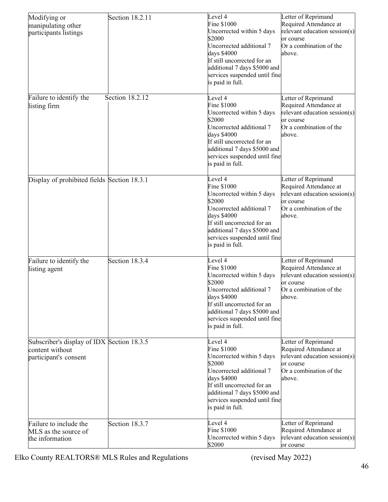| Modifying or<br>manipulating other<br>participants listings                            | Section 18.2.11 | Level 4<br>Fine \$1000<br>Uncorrected within 5 days<br>\$2000<br>Uncorrected additional 7<br>days \$4000<br>If still uncorrected for an<br>additional 7 days \$5000 and<br>services suspended until fine<br>is paid in full. | Letter of Reprimand<br>Required Attendance at<br>relevant education session(s)<br>or course<br>Or a combination of the<br>above. |
|----------------------------------------------------------------------------------------|-----------------|------------------------------------------------------------------------------------------------------------------------------------------------------------------------------------------------------------------------------|----------------------------------------------------------------------------------------------------------------------------------|
| Failure to identify the<br>listing firm                                                | Section 18.2.12 | Level 4<br>Fine \$1000<br>Uncorrected within 5 days<br>\$2000<br>Uncorrected additional 7<br>days \$4000<br>If still uncorrected for an<br>additional 7 days \$5000 and<br>services suspended until fine<br>is paid in full. | Letter of Reprimand<br>Required Attendance at<br>relevant education session(s)<br>or course<br>Or a combination of the<br>above. |
| Display of prohibited fields Section 18.3.1                                            |                 | Level 4<br>Fine \$1000<br>Uncorrected within 5 days<br>\$2000<br>Uncorrected additional 7<br>days \$4000<br>If still uncorrected for an<br>additional 7 days \$5000 and<br>services suspended until fine<br>is paid in full. | Letter of Reprimand<br>Required Attendance at<br>relevant education session(s)<br>or course<br>Or a combination of the<br>above. |
| Failure to identify the<br>listing agent                                               | Section 18.3.4  | Level 4<br>Fine \$1000<br>Uncorrected within 5 days<br>\$2000<br>Uncorrected additional 7<br>days \$4000<br>If still uncorrected for an<br>additional 7 days \$5000 and<br>services suspended until fine<br>is paid in full. | Letter of Reprimand<br>Required Attendance at<br>relevant education session(s)<br>or course<br>Or a combination of the<br>above. |
| Subscriber's display of IDX Section 18.3.5<br>content without<br>participant's consent |                 | Level 4<br>Fine \$1000<br>Uncorrected within 5 days<br>\$2000<br>Uncorrected additional 7<br>days \$4000<br>If still uncorrected for an<br>additional 7 days \$5000 and<br>services suspended until fine<br>is paid in full. | Letter of Reprimand<br>Required Attendance at<br>relevant education session(s)<br>or course<br>Or a combination of the<br>above. |
| Failure to include the<br>MLS as the source of<br>the information                      | Section 18.3.7  | Level 4<br>Fine \$1000<br>Uncorrected within 5 days<br>\$2000                                                                                                                                                                | Letter of Reprimand<br>Required Attendance at<br>relevant education session(s)<br>or course                                      |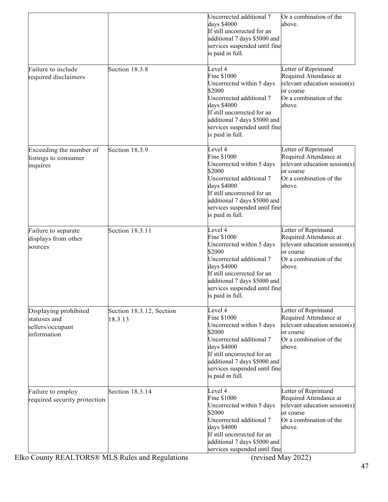|                                                                          |                                     | Uncorrected additional 7<br>days \$4000<br>If still uncorrected for an<br>additional 7 days \$5000 and<br>services suspended until fine<br>is paid in full.                                                                  | Or a combination of the<br>above.                                                                                                |
|--------------------------------------------------------------------------|-------------------------------------|------------------------------------------------------------------------------------------------------------------------------------------------------------------------------------------------------------------------------|----------------------------------------------------------------------------------------------------------------------------------|
| Failure to include<br>required disclaimers                               | Section 18.3.8                      | Level 4<br>Fine \$1000<br>Uncorrected within 5 days<br>\$2000<br>Uncorrected additional 7<br>days \$4000<br>If still uncorrected for an<br>additional 7 days \$5000 and<br>services suspended until fine<br>is paid in full. | Letter of Reprimand<br>Required Attendance at<br>relevant education session(s)<br>or course<br>Or a combination of the<br>above. |
| Exceeding the number of<br>listings to consumer<br>inquires              | Section 18.3.9                      | Level 4<br>Fine \$1000<br>Uncorrected within 5 days<br>\$2000<br>Uncorrected additional 7<br>days \$4000<br>If still uncorrected for an<br>additional 7 days \$5000 and<br>services suspended until fine<br>is paid in full. | Letter of Reprimand<br>Required Attendance at<br>relevant education session(s)<br>or course<br>Or a combination of the<br>above. |
| Failure to separate<br>displays from other<br>sources                    | Section 18.3.11                     | Level 4<br>Fine \$1000<br>Uncorrected within 5 days<br>\$2000<br>Uncorrected additional 7<br>days \$4000<br>If still uncorrected for an<br>additional 7 days \$5000 and<br>services suspended until fine<br>is paid in full. | Letter of Reprimand<br>Required Attendance at<br>relevant education session(s)<br>or course<br>Or a combination of the<br>above. |
| Displaying prohibited<br>statuses and<br>sellers/occupant<br>information | Section 18.3.12, Section<br>18.3.13 | Level 4<br>Fine \$1000<br>Uncorrected within 5 days<br>\$2000<br>Uncorrected additional 7<br>days \$4000<br>If still uncorrected for an<br>additional 7 days \$5000 and<br>services suspended until fine<br>is paid in full. | Letter of Reprimand<br>Required Attendance at<br>relevant education session(s)<br>or course<br>Or a combination of the<br>above. |
| Failure to employ<br>required security protection                        | Section 18.3.14                     | Level 4<br>Fine \$1000<br>Uncorrected within 5 days<br>\$2000<br>Uncorrected additional 7<br>days \$4000<br>If still uncorrected for an<br>additional 7 days \$5000 and<br>services suspended until fine                     | Letter of Reprimand<br>Required Attendance at<br>relevant education session(s)<br>or course<br>Or a combination of the<br>above. |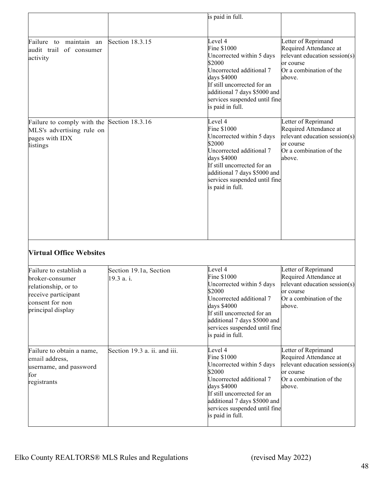|                                                                                                                                 |                                      | is paid in full.                                                                                                                                                                                                             |                                                                                                                                  |
|---------------------------------------------------------------------------------------------------------------------------------|--------------------------------------|------------------------------------------------------------------------------------------------------------------------------------------------------------------------------------------------------------------------------|----------------------------------------------------------------------------------------------------------------------------------|
|                                                                                                                                 |                                      |                                                                                                                                                                                                                              |                                                                                                                                  |
| maintain an<br>Failure to<br>audit trail of consumer<br>activity                                                                | Section 18.3.15                      | Level 4<br>Fine \$1000<br>Uncorrected within 5 days<br>\$2000<br>Uncorrected additional 7<br>days \$4000<br>If still uncorrected for an<br>additional 7 days \$5000 and<br>services suspended until fine<br>is paid in full. | Letter of Reprimand<br>Required Attendance at<br>relevant education session(s)<br>or course<br>Or a combination of the<br>above. |
| Failure to comply with the<br>MLS's advertising rule on<br>pages with IDX<br>listings                                           | Section 18.3.16                      | Level 4<br>Fine \$1000<br>Uncorrected within 5 days<br>\$2000<br>Uncorrected additional 7<br>days \$4000<br>If still uncorrected for an<br>additional 7 days \$5000 and<br>services suspended until fine<br>is paid in full. | Letter of Reprimand<br>Required Attendance at<br>relevant education session(s)<br>or course<br>Or a combination of the<br>above. |
| <b>Virtual Office Websites</b>                                                                                                  |                                      |                                                                                                                                                                                                                              |                                                                                                                                  |
| Failure to establish a<br>broker-consumer<br>relationship, or to<br>receive participant<br>consent for non<br>principal display | Section 19.1a, Section<br>19.3 a. i. | Level 4<br>Fine \$1000<br>Uncorrected within 5 days<br>\$2000<br>Uncorrected additional 7<br>days \$4000<br>If still uncorrected for an<br>additional 7 days \$5000 and<br>services suspended until fine<br>is paid in full. | Letter of Reprimand<br>Required Attendance at<br>relevant education session(s)<br>or course<br>Or a combination of the<br>above. |
| Failure to obtain a name,<br>email address,<br>username, and password<br>for<br>registrants                                     | Section 19.3 a. ii. and iii.         | Level 4<br>Fine \$1000<br>Uncorrected within 5 days<br>\$2000<br>Uncorrected additional 7<br>days \$4000<br>If still uncorrected for an<br>additional 7 days \$5000 and<br>services suspended until fine<br>is paid in full. | Letter of Reprimand<br>Required Attendance at<br>relevant education session(s)<br>or course<br>Or a combination of the<br>above. |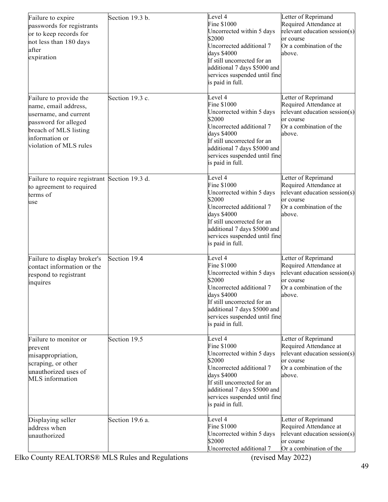| Failure to expire<br>passwords for registrants<br>or to keep records for<br>not less than 180 days<br>after<br>expiration                                            | Section 19.3 b. | Level 4<br>Fine \$1000<br>Uncorrected within 5 days<br>\$2000<br>Uncorrected additional 7<br>days \$4000<br>If still uncorrected for an<br>additional 7 days \$5000 and<br>services suspended until fine<br>is paid in full. | Letter of Reprimand<br>Required Attendance at<br>relevant education session(s)<br>or course<br>Or a combination of the<br>above. |
|----------------------------------------------------------------------------------------------------------------------------------------------------------------------|-----------------|------------------------------------------------------------------------------------------------------------------------------------------------------------------------------------------------------------------------------|----------------------------------------------------------------------------------------------------------------------------------|
| Failure to provide the<br>name, email address,<br>username, and current<br>password for alleged<br>breach of MLS listing<br>information or<br>violation of MLS rules | Section 19.3 c. | Level 4<br>Fine \$1000<br>Uncorrected within 5 days<br>\$2000<br>Uncorrected additional 7<br>days \$4000<br>If still uncorrected for an<br>additional 7 days \$5000 and<br>services suspended until fine<br>is paid in full. | Letter of Reprimand<br>Required Attendance at<br>relevant education session(s)<br>or course<br>Or a combination of the<br>above. |
| Failure to require registrant Section 19.3 d.<br>to agreement to required<br>terms of<br>use                                                                         |                 | Level 4<br>Fine \$1000<br>Uncorrected within 5 days<br>\$2000<br>Uncorrected additional 7<br>days \$4000<br>If still uncorrected for an<br>additional 7 days \$5000 and<br>services suspended until fine<br>is paid in full. | Letter of Reprimand<br>Required Attendance at<br>relevant education session(s)<br>or course<br>Or a combination of the<br>above. |
| Failure to display broker's<br>contact information or the<br>respond to registrant<br>inquires                                                                       | Section 19.4    | Level 4<br>Fine \$1000<br>Uncorrected within 5 days<br>\$2000<br>Uncorrected additional 7<br>days \$4000<br>If still uncorrected for an<br>additional 7 days \$5000 and<br>services suspended until fine<br>is paid in full. | Letter of Reprimand<br>Required Attendance at<br>relevant education session(s)<br>or course<br>Or a combination of the<br>above. |
| Failure to monitor or<br>prevent<br>misappropriation,<br>scraping, or other<br>unauthorized uses of<br><b>MLS</b> information                                        | Section 19.5    | Level 4<br>Fine \$1000<br>Uncorrected within 5 days<br>\$2000<br>Uncorrected additional 7<br>days \$4000<br>If still uncorrected for an<br>additional 7 days \$5000 and<br>services suspended until fine<br>is paid in full. | Letter of Reprimand<br>Required Attendance at<br>relevant education session(s)<br>or course<br>Or a combination of the<br>above. |
| Displaying seller<br>address when<br>unauthorized                                                                                                                    | Section 19.6 a. | Level 4<br>Fine \$1000<br>Uncorrected within 5 days<br>\$2000<br>Uncorrected additional 7                                                                                                                                    | Letter of Reprimand<br>Required Attendance at<br>relevant education session(s)<br>or course<br>Or a combination of the           |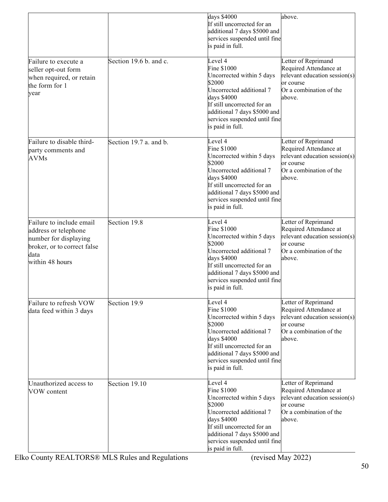|                                                                                                                                     |                        | days \$4000<br>If still uncorrected for an<br>additional 7 days \$5000 and<br>services suspended until fine<br>is paid in full.                                                                                              | above.                                                                                                                           |
|-------------------------------------------------------------------------------------------------------------------------------------|------------------------|------------------------------------------------------------------------------------------------------------------------------------------------------------------------------------------------------------------------------|----------------------------------------------------------------------------------------------------------------------------------|
| Failure to execute a<br>seller opt-out form<br>when required, or retain<br>the form for 1<br>year                                   | Section 19.6 b. and c. | Level 4<br>Fine \$1000<br>Uncorrected within 5 days<br>\$2000<br>Uncorrected additional 7<br>days \$4000<br>If still uncorrected for an<br>additional 7 days \$5000 and<br>services suspended until fine<br>is paid in full. | Letter of Reprimand<br>Required Attendance at<br>relevant education session(s)<br>or course<br>Or a combination of the<br>above. |
| Failure to disable third-<br>party comments and<br><b>AVMs</b>                                                                      | Section 19.7 a. and b. | Level 4<br>Fine \$1000<br>Uncorrected within 5 days<br>\$2000<br>Uncorrected additional 7<br>days \$4000<br>If still uncorrected for an<br>additional 7 days \$5000 and<br>services suspended until fine<br>is paid in full. | Letter of Reprimand<br>Required Attendance at<br>relevant education session(s)<br>or course<br>Or a combination of the<br>above. |
| Failure to include email<br>address or telephone<br>number for displaying<br>broker, or to correct false<br>data<br>within 48 hours | Section 19.8           | Level 4<br>Fine \$1000<br>Uncorrected within 5 days<br>\$2000<br>Uncorrected additional 7<br>days \$4000<br>If still uncorrected for an<br>additional 7 days \$5000 and<br>services suspended until fine<br>is paid in full. | Letter of Reprimand<br>Required Attendance at<br>relevant education session(s)<br>or course<br>Or a combination of the<br>above. |
| Failure to refresh VOW<br>data feed within 3 days                                                                                   | Section 19.9           | Level 4<br>Fine \$1000<br>Uncorrected within 5 days<br>\$2000<br>Uncorrected additional 7<br>days \$4000<br>If still uncorrected for an<br>additional 7 days \$5000 and<br>services suspended until fine<br>is paid in full. | Letter of Reprimand<br>Required Attendance at<br>relevant education session(s)<br>or course<br>Or a combination of the<br>above. |
| Unauthorized access to<br>VOW content                                                                                               | Section 19.10          | Level 4<br>Fine \$1000<br>Uncorrected within 5 days<br>\$2000<br>Uncorrected additional 7<br>days \$4000<br>If still uncorrected for an<br>additional 7 days \$5000 and<br>services suspended until fine<br>is paid in full. | Letter of Reprimand<br>Required Attendance at<br>relevant education session(s)<br>or course<br>Or a combination of the<br>above. |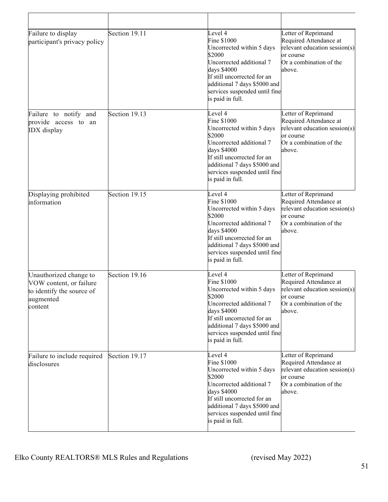| Failure to display<br>participant's privacy policy                                                     | Section 19.11 | Level 4<br>Fine \$1000<br>Uncorrected within 5 days<br>\$2000<br>Uncorrected additional 7<br>days \$4000<br>If still uncorrected for an<br>additional 7 days \$5000 and<br>services suspended until fine<br>is paid in full. | Letter of Reprimand<br>Required Attendance at<br>relevant education session(s)<br>or course<br>Or a combination of the<br>above. |
|--------------------------------------------------------------------------------------------------------|---------------|------------------------------------------------------------------------------------------------------------------------------------------------------------------------------------------------------------------------------|----------------------------------------------------------------------------------------------------------------------------------|
| Failure to notify and<br>provide access to an<br><b>IDX</b> display                                    | Section 19.13 | Level 4<br>Fine \$1000<br>Uncorrected within 5 days<br>\$2000<br>Uncorrected additional 7<br>days \$4000<br>If still uncorrected for an<br>additional 7 days \$5000 and<br>services suspended until fine<br>is paid in full. | Letter of Reprimand<br>Required Attendance at<br>relevant education session(s)<br>or course<br>Or a combination of the<br>above. |
| Displaying prohibited<br>information                                                                   | Section 19.15 | Level 4<br>Fine \$1000<br>Uncorrected within 5 days<br>\$2000<br>Uncorrected additional 7<br>days \$4000<br>If still uncorrected for an<br>additional 7 days \$5000 and<br>services suspended until fine<br>is paid in full. | Letter of Reprimand<br>Required Attendance at<br>relevant education session(s)<br>or course<br>Or a combination of the<br>above. |
| Unauthorized change to<br>VOW content, or failure<br>to identify the source of<br>augmented<br>content | Section 19.16 | Level 4<br>Fine \$1000<br>Uncorrected within 5 days<br>\$2000<br>Uncorrected additional 7<br>days \$4000<br>If still uncorrected for an<br>additional 7 days \$5000 and<br>services suspended until fine<br>is paid in full. | Letter of Reprimand<br>Required Attendance at<br>relevant education session(s)<br>or course<br>Or a combination of the<br>above. |
| Failure to include required<br>disclosures                                                             | Section 19.17 | Level 4<br>Fine \$1000<br>Uncorrected within 5 days<br>\$2000<br>Uncorrected additional 7<br>days \$4000<br>If still uncorrected for an<br>additional 7 days \$5000 and<br>services suspended until fine<br>is paid in full. | Letter of Reprimand<br>Required Attendance at<br>relevant education session(s)<br>or course<br>Or a combination of the<br>above. |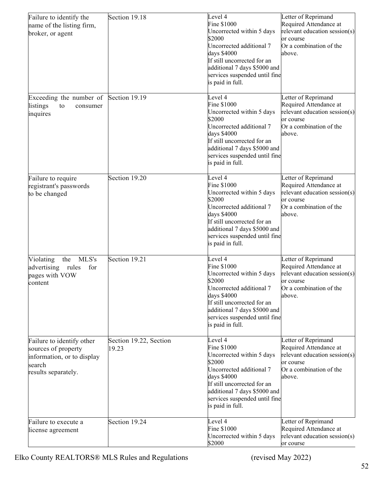| Failure to identify the<br>name of the listing firm,<br>broker, or agent                                        | Section 19.18                   | Level 4<br>Fine \$1000<br>Uncorrected within 5 days<br>\$2000<br>Uncorrected additional 7<br>days \$4000<br>If still uncorrected for an<br>additional 7 days \$5000 and<br>services suspended until fine<br>is paid in full. | Letter of Reprimand<br>Required Attendance at<br>relevant education session(s)<br>or course<br>Or a combination of the<br>above. |
|-----------------------------------------------------------------------------------------------------------------|---------------------------------|------------------------------------------------------------------------------------------------------------------------------------------------------------------------------------------------------------------------------|----------------------------------------------------------------------------------------------------------------------------------|
| Exceeding the number of<br>listings<br>to<br>consumer<br>inquires                                               | Section 19.19                   | Level 4<br>Fine \$1000<br>Uncorrected within 5 days<br>\$2000<br>Uncorrected additional 7<br>days \$4000<br>If still uncorrected for an<br>additional 7 days \$5000 and<br>services suspended until fine<br>is paid in full. | Letter of Reprimand<br>Required Attendance at<br>relevant education session(s)<br>or course<br>Or a combination of the<br>above. |
| Failure to require<br>registrant's passwords<br>to be changed                                                   | Section 19.20                   | Level 4<br>Fine \$1000<br>Uncorrected within 5 days<br>\$2000<br>Uncorrected additional 7<br>days \$4000<br>If still uncorrected for an<br>additional 7 days \$5000 and<br>services suspended until fine<br>is paid in full. | Letter of Reprimand<br>Required Attendance at<br>relevant education session(s)<br>or course<br>Or a combination of the<br>above. |
| MLS's<br>Violating<br>the<br>advertising<br>for<br>rules<br>pages with VOW<br>content                           | Section 19.21                   | Level 4<br>Fine \$1000<br>Uncorrected within 5 days<br>\$2000<br>Uncorrected additional 7<br>days \$4000<br>If still uncorrected for an<br>additional 7 days \$5000 and<br>services suspended until fine<br>is paid in full. | Letter of Reprimand<br>Required Attendance at<br>relevant education session(s)<br>or course<br>Or a combination of the<br>above. |
| Failure to identify other<br>sources of property<br>information, or to display<br>search<br>results separately. | Section 19.22, Section<br>19.23 | Level 4<br>Fine \$1000<br>Uncorrected within 5 days<br>\$2000<br>Uncorrected additional 7<br>days \$4000<br>If still uncorrected for an<br>additional 7 days \$5000 and<br>services suspended until fine<br>is paid in full. | Letter of Reprimand<br>Required Attendance at<br>relevant education session(s)<br>or course<br>Or a combination of the<br>above. |
| Failure to execute a<br>license agreement                                                                       | Section 19.24                   | Level 4<br>Fine \$1000<br>Uncorrected within 5 days<br>\$2000                                                                                                                                                                | Letter of Reprimand<br>Required Attendance at<br>relevant education session(s)<br>or course                                      |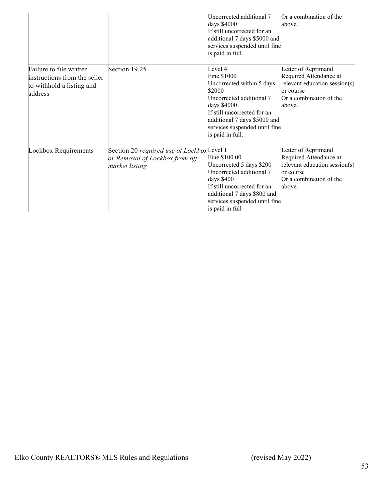|                                                                                                 |                                                                                                | Uncorrected additional 7<br>days \$4000<br>If still uncorrected for an<br>additional 7 days \$5000 and<br>services suspended until fine<br>is paid in full.                                                                  | Or a combination of the<br>above.                                                                                                |
|-------------------------------------------------------------------------------------------------|------------------------------------------------------------------------------------------------|------------------------------------------------------------------------------------------------------------------------------------------------------------------------------------------------------------------------------|----------------------------------------------------------------------------------------------------------------------------------|
| Failure to file written<br>instructions from the seller<br>to withhold a listing and<br>address | Section 19.25                                                                                  | Level 4<br>Fine \$1000<br>Uncorrected within 5 days<br>\$2000<br>Uncorrected additional 7<br>days \$4000<br>If still uncorrected for an<br>additional 7 days \$5000 and<br>services suspended until fine<br>is paid in full. | Letter of Reprimand<br>Required Attendance at<br>relevant education session(s)<br>or course<br>Or a combination of the<br>above. |
| Lockbox Requirements                                                                            | Section 20 required use of LockboxLevel 1<br>or Removal of Lockbox from off-<br>market listing | Fine \$100.00<br>Uncorrected 5 days \$200<br>Uncorrected additional 7<br>days \$400<br>If still uncorrected for an<br>additional 7 days \$800 and<br>services suspended until fine<br>is paid in full                        | Letter of Reprimand<br>Required Attendance at<br>relevant education session(s)<br>or course<br>Or a combination of the<br>above. |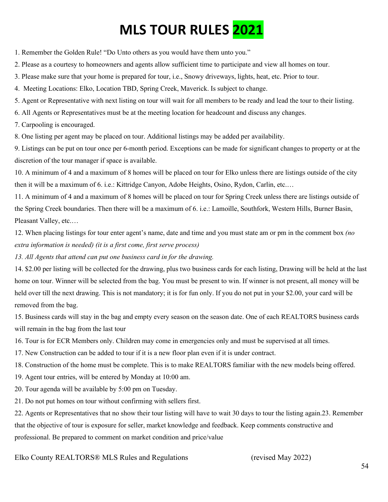## **MLS TOUR RULES 2021**

1. Remember the Golden Rule! "Do Unto others as you would have them unto you."

2. Please as a courtesy to homeowners and agents allow sufficient time to participate and view all homes on tour.

3. Please make sure that your home is prepared for tour, i.e., Snowy driveways, lights, heat, etc. Prior to tour.

4. Meeting Locations: Elko, Location TBD, Spring Creek, Maverick. Is subject to change.

5. Agent or Representative with next listing on tour will wait for all members to be ready and lead the tour to their listing.

6. All Agents or Representatives must be at the meeting location for headcount and discuss any changes.

7. Carpooling is encouraged.

8. One listing per agent may be placed on tour. Additional listings may be added per availability.

9. Listings can be put on tour once per 6-month period. Exceptions can be made for significant changes to property or at the discretion of the tour manager if space is available.

10. A minimum of 4 and a maximum of 8 homes will be placed on tour for Elko unless there are listings outside of the city then it will be a maximum of 6. i.e.: Kittridge Canyon, Adobe Heights, Osino, Rydon, Carlin, etc.…

11. A minimum of 4 and a maximum of 8 homes will be placed on tour for Spring Creek unless there are listings outside of the Spring Creek boundaries. Then there will be a maximum of 6. i.e.: Lamoille, Southfork, Western Hills, Burner Basin, Pleasant Valley, etc.…

12. When placing listings for tour enter agent's name, date and time and you must state am or pm in the comment box *(no extra information is needed) (it is a first come, first serve process)*

*13. All Agents that attend can put one business card in for the drawing.* 

14. \$2.00 per listing will be collected for the drawing, plus two business cards for each listing, Drawing will be held at the last home on tour. Winner will be selected from the bag. You must be present to win. If winner is not present, all money will be held over till the next drawing. This is not mandatory; it is for fun only. If you do not put in your \$2.00, your card will be removed from the bag.

15. Business cards will stay in the bag and empty every season on the season date. One of each REALTORS business cards will remain in the bag from the last tour

16. Tour is for ECR Members only. Children may come in emergencies only and must be supervised at all times.

17. New Construction can be added to tour if it is a new floor plan even if it is under contract.

18. Construction of the home must be complete. This is to make REALTORS familiar with the new models being offered.

19. Agent tour entries, will be entered by Monday at 10:00 am.

20. Tour agenda will be available by 5:00 pm on Tuesday.

21. Do not put homes on tour without confirming with sellers first.

22. Agents or Representatives that no show their tour listing will have to wait 30 days to tour the listing again.23. Remember that the objective of tour is exposure for seller, market knowledge and feedback. Keep comments constructive and professional. Be prepared to comment on market condition and price/value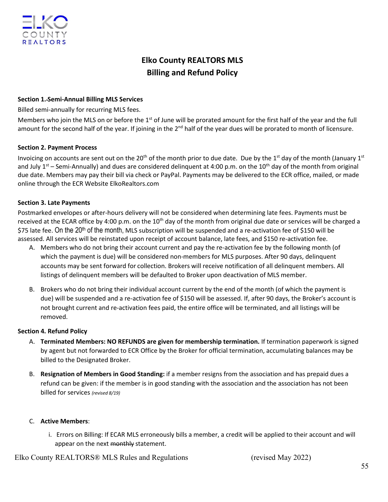## **Elko County REALTORS MLS Billing and Refund Policy**

#### **Section 1. Semi-Annual Billing MLS Services**

Billed semi-annually for recurring MLS fees.

Members who join the MLS on or before the 1<sup>st</sup> of June will be prorated amount for the first half of the year and the full amount for the second half of the year. If joining in the  $2^{nd}$  half of the year dues will be prorated to month of licensure.

#### **Section 2. Payment Process**

Invoicing on accounts are sent out on the 20<sup>th</sup> of the month prior to due date. Due by the 1<sup>st</sup> day of the month (January 1st and July  $1<sup>st</sup>$  – Semi-Annually) and dues are considered delinquent at 4:00 p.m. on the 10<sup>th</sup> day of the month from original due date. Members may pay their bill via check or PayPal. Payments may be delivered to the ECR office, mailed, or made online through the ECR Website ElkoRealtors.com

#### **Section 3. Late Payments**

Postmarked envelopes or after-hours delivery will not be considered when determining late fees. Payments must be received at the ECAR office by 4:00 p.m. on the 10<sup>th</sup> day of the month from original due date or services will be charged a \$75 late fee. On the  $20<sup>th</sup>$  of the month, MLS subscription will be suspended and a re-activation fee of \$150 will be assessed. All services will be reinstated upon receipt of account balance, late fees, and \$150 re-activation fee.

- A. Members who do not bring their account current and pay the re-activation fee by the following month (of which the payment is due) will be considered non-members for MLS purposes. After 90 days, delinquent accounts may be sent forward for collection. Brokers will receive notification of all delinquent members. All listings of delinquent members will be defaulted to Broker upon deactivation of MLS member.
- B. Brokers who do not bring their individual account current by the end of the month (of which the payment is due) will be suspended and a re-activation fee of \$150 will be assessed. If, after 90 days, the Broker's account is not brought current and re-activation fees paid, the entire office will be terminated, and all listings will be removed.

#### **Section 4. Refund Policy**

- A. **Terminated Members: NO REFUNDS are given for membership termination.** If termination paperwork is signed by agent but not forwarded to ECR Office by the Broker for official termination, accumulating balances may be billed to the Designated Broker.
- B. **Resignation of Members in Good Standing:** if a member resigns from the association and has prepaid dues a refund can be given: if the member is in good standing with the association and the association has not been billed for services *(revised 8/19)*

#### C. **Active Members**:

i. Errors on Billing: If ECAR MLS erroneously bills a member, a credit will be applied to their account and will appear on the next monthly statement.